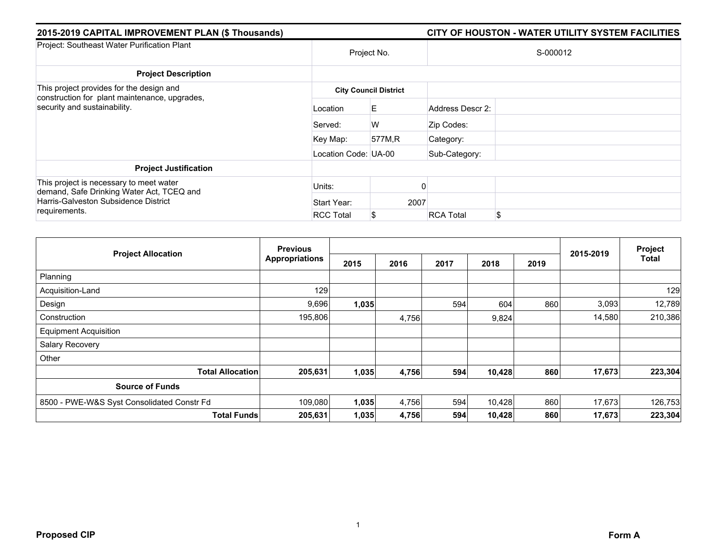| 2015-2019 CAPITAL IMPROVEMENT PLAN (\$ Thousands)                                                                            |                      |                              | CITY OF HOUSTON - WATER UTILITY SYSTEM FACILITIES |
|------------------------------------------------------------------------------------------------------------------------------|----------------------|------------------------------|---------------------------------------------------|
| Project: Southeast Water Purification Plant                                                                                  | Project No.          |                              | S-000012                                          |
| <b>Project Description</b>                                                                                                   |                      |                              |                                                   |
| This project provides for the design and<br>construction for plant maintenance, upgrades,<br>security and sustainability.    |                      | <b>City Council District</b> |                                                   |
|                                                                                                                              | Location             | E.                           | Address Descr 2:                                  |
|                                                                                                                              | Served:              | W                            | Zip Codes:                                        |
|                                                                                                                              | Key Map:             | 577M,R                       | Category:                                         |
|                                                                                                                              | Location Code: UA-00 |                              | Sub-Category:                                     |
| <b>Project Justification</b>                                                                                                 |                      |                              |                                                   |
| This project is necessary to meet water<br>demand, Safe Drinking Water Act, TCEQ and<br>Harris-Galveston Subsidence District | Units:               |                              |                                                   |
|                                                                                                                              | Start Year:          | 2007                         |                                                   |
| requirements.                                                                                                                | <b>RCC Total</b>     | S                            | \$<br><b>RCA Total</b>                            |

|                                            | <b>Previous</b>       |       |       |      |        | Project |           |              |
|--------------------------------------------|-----------------------|-------|-------|------|--------|---------|-----------|--------------|
| <b>Project Allocation</b>                  | <b>Appropriations</b> | 2015  | 2016  | 2017 | 2018   | 2019    | 2015-2019 | <b>Total</b> |
| Planning                                   |                       |       |       |      |        |         |           |              |
| Acquisition-Land                           | 129                   |       |       |      |        |         |           | 129          |
| Design                                     | 9,696                 | 1,035 |       | 594  | 604    | 860     | 3,093     | 12,789       |
| Construction                               | 195,806               |       | 4,756 |      | 9,824  |         | 14,580    | 210,386      |
| <b>Equipment Acquisition</b>               |                       |       |       |      |        |         |           |              |
| Salary Recovery                            |                       |       |       |      |        |         |           |              |
| Other                                      |                       |       |       |      |        |         |           |              |
| <b>Total Allocation</b>                    | 205,631               | 1,035 | 4,756 | 594  | 10,428 | 860     | 17,673    | 223,304      |
| <b>Source of Funds</b>                     |                       |       |       |      |        |         |           |              |
| 8500 - PWE-W&S Syst Consolidated Constr Fd | 109,080               | 1,035 | 4,756 | 594  | 10,428 | 860     | 17,673    | 126,753      |
| <b>Total Funds</b>                         | 205,631               | 1,035 | 4,756 | 594  | 10,428 | 860     | 17,673    | 223,304      |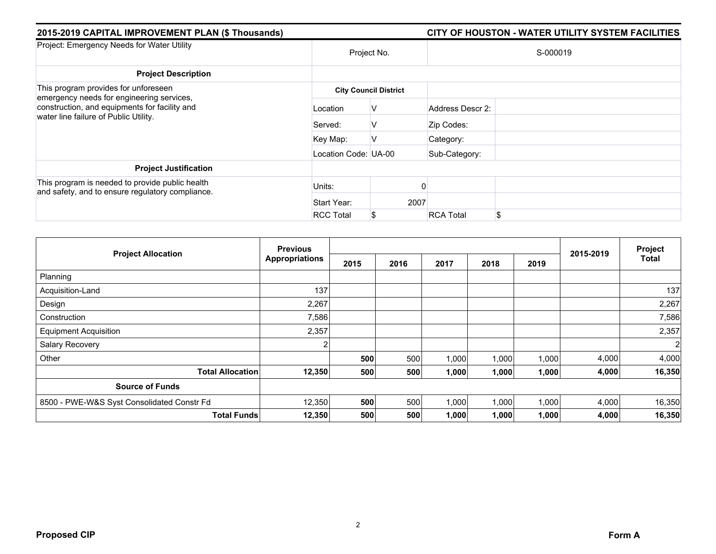| 2015-2019 CAPITAL IMPROVEMENT PLAN (\$ Thousands)                                                                                                                           |                      |                              |                  | CITY OF HOUSTON - WATER UTILITY SYSTEM FACILITIES |
|-----------------------------------------------------------------------------------------------------------------------------------------------------------------------------|----------------------|------------------------------|------------------|---------------------------------------------------|
| Project: Emergency Needs for Water Utility                                                                                                                                  |                      | Project No.                  |                  | S-000019                                          |
| <b>Project Description</b>                                                                                                                                                  |                      |                              |                  |                                                   |
| This program provides for unforeseen<br>emergency needs for engineering services,<br>construction, and equipments for facility and<br>water line failure of Public Utility. |                      | <b>City Council District</b> |                  |                                                   |
|                                                                                                                                                                             | Location             | V                            | Address Descr 2: |                                                   |
|                                                                                                                                                                             | Served:              | v                            | Zip Codes:       |                                                   |
|                                                                                                                                                                             | Key Map:             | V                            | Category:        |                                                   |
|                                                                                                                                                                             | Location Code: UA-00 |                              | Sub-Category:    |                                                   |
| <b>Project Justification</b>                                                                                                                                                |                      |                              |                  |                                                   |
| This program is needed to provide public health<br>and safety, and to ensure regulatory compliance.                                                                         | Units:               |                              |                  |                                                   |
|                                                                                                                                                                             | Start Year:          | 2007                         |                  |                                                   |
|                                                                                                                                                                             | <b>RCC Total</b>     | S.                           | <b>RCA Total</b> | \$                                                |

|                                            | <b>Previous</b>       |      |      |       |       |       |           | Project      |
|--------------------------------------------|-----------------------|------|------|-------|-------|-------|-----------|--------------|
| <b>Project Allocation</b>                  | <b>Appropriations</b> | 2015 | 2016 | 2017  | 2018  | 2019  | 2015-2019 | <b>Total</b> |
| Planning                                   |                       |      |      |       |       |       |           |              |
| Acquisition-Land                           | 137                   |      |      |       |       |       |           | 137          |
| Design                                     | 2,267                 |      |      |       |       |       |           | 2,267        |
| Construction                               | 7,586                 |      |      |       |       |       |           | 7,586        |
| <b>Equipment Acquisition</b>               | 2,357                 |      |      |       |       |       |           | 2,357        |
| Salary Recovery                            | $\sim$                |      |      |       |       |       |           |              |
| Other                                      |                       | 500  | 500  | 1,000 | 1,000 | 1,000 | 4,000     | 4,000        |
| <b>Total Allocation</b>                    | 12,350                | 500  | 500  | 1,000 | 1,000 | 1,000 | 4,000     | 16,350       |
| <b>Source of Funds</b>                     |                       |      |      |       |       |       |           |              |
| 8500 - PWE-W&S Syst Consolidated Constr Fd | 12,350                | 500  | 500  | 1,000 | 1,000 | 1,000 | 4,000     | 16,350       |
| <b>Total Funds</b>                         | 12,350                | 500  | 500  | 1,000 | 1,000 | 1,000 | 4,000     | 16,350       |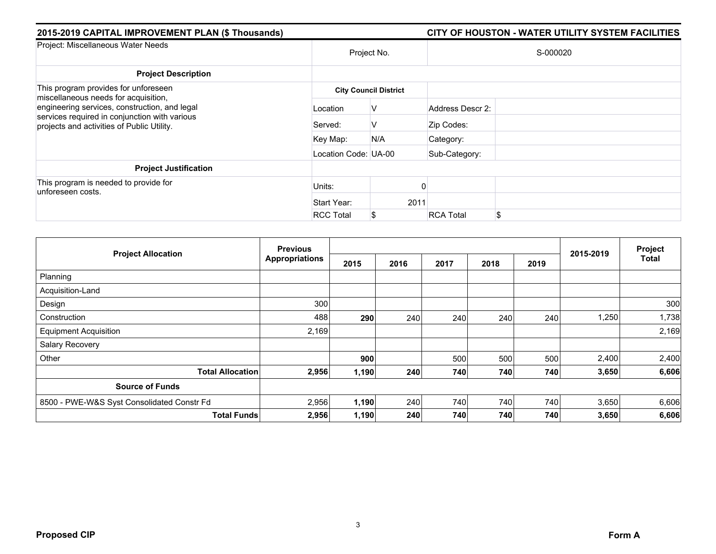| 2015-2019 CAPITAL IMPROVEMENT PLAN (\$ Thousands)                                                                                                                                                                            |                      |                              |                  | CITY OF HOUSTON - WATER UTILITY SYSTEM FACILITIES |  |  |  |
|------------------------------------------------------------------------------------------------------------------------------------------------------------------------------------------------------------------------------|----------------------|------------------------------|------------------|---------------------------------------------------|--|--|--|
| Project: Miscellaneous Water Needs                                                                                                                                                                                           | Project No.          |                              | S-000020         |                                                   |  |  |  |
| <b>Project Description</b>                                                                                                                                                                                                   |                      |                              |                  |                                                   |  |  |  |
| This program provides for unforeseen<br>miscellaneous needs for acquisition,<br>engineering services, construction, and legal<br>services required in conjunction with various<br>projects and activities of Public Utility. |                      | <b>City Council District</b> |                  |                                                   |  |  |  |
|                                                                                                                                                                                                                              | Location             | V                            | Address Descr 2: |                                                   |  |  |  |
|                                                                                                                                                                                                                              | Served:              | v                            | Zip Codes:       |                                                   |  |  |  |
|                                                                                                                                                                                                                              | Key Map:             | N/A                          | Category:        |                                                   |  |  |  |
|                                                                                                                                                                                                                              | Location Code: UA-00 |                              | Sub-Category:    |                                                   |  |  |  |
| <b>Project Justification</b>                                                                                                                                                                                                 |                      |                              |                  |                                                   |  |  |  |
| This program is needed to provide for<br>unforeseen costs.                                                                                                                                                                   | Units:               |                              |                  |                                                   |  |  |  |
|                                                                                                                                                                                                                              | Start Year:          | 2011                         |                  |                                                   |  |  |  |
|                                                                                                                                                                                                                              | <b>RCC Total</b>     | S                            | <b>RCA Total</b> | \$                                                |  |  |  |

|                                            | <b>Previous</b>       |       |      |      |      |      |           | Project |
|--------------------------------------------|-----------------------|-------|------|------|------|------|-----------|---------|
| <b>Project Allocation</b>                  | <b>Appropriations</b> | 2015  | 2016 | 2017 | 2018 | 2019 | 2015-2019 | Total   |
| Planning                                   |                       |       |      |      |      |      |           |         |
| Acquisition-Land                           |                       |       |      |      |      |      |           |         |
| Design                                     | 300                   |       |      |      |      |      |           | 300     |
| Construction                               | 488                   | 290   | 240  | 240  | 240  | 240  | 1,250     | 1,738   |
| <b>Equipment Acquisition</b>               | 2,169                 |       |      |      |      |      |           | 2,169   |
| Salary Recovery                            |                       |       |      |      |      |      |           |         |
| Other                                      |                       | 900   |      | 500  | 500  | 500  | 2,400     | 2,400   |
| <b>Total Allocation</b>                    | 2,956                 | 1,190 | 240  | 740  | 740  | 740  | 3,650     | 6,606   |
| <b>Source of Funds</b>                     |                       |       |      |      |      |      |           |         |
| 8500 - PWE-W&S Syst Consolidated Constr Fd | 2,956                 | 1,190 | 240  | 740  | 740  | 740  | 3,650     | 6,606   |
| <b>Total Funds</b>                         | 2,956                 | 1,190 | 240  | 740  | 740  | 740  | 3,650     | 6,606   |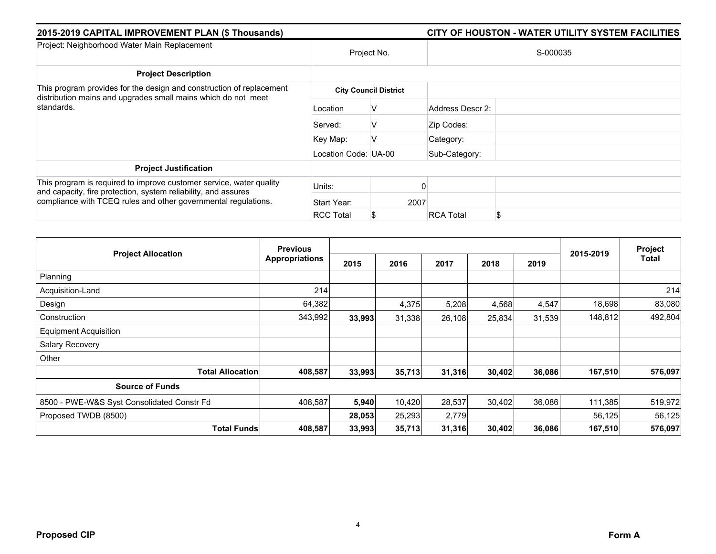| 2015-2019 CAPITAL IMPROVEMENT PLAN (\$ Thousands)                                                                                                                                                       |                      | CITY OF HOUSTON - WATER UTILITY SYSTEM FACILITIES |                  |    |  |  |  |
|---------------------------------------------------------------------------------------------------------------------------------------------------------------------------------------------------------|----------------------|---------------------------------------------------|------------------|----|--|--|--|
| Project: Neighborhood Water Main Replacement                                                                                                                                                            | Project No.          |                                                   | S-000035         |    |  |  |  |
| <b>Project Description</b>                                                                                                                                                                              |                      |                                                   |                  |    |  |  |  |
| This program provides for the design and construction of replacement<br>distribution mains and upgrades small mains which do not meet<br>standards.                                                     |                      | <b>City Council District</b>                      |                  |    |  |  |  |
|                                                                                                                                                                                                         | Location             | V                                                 | Address Descr 2: |    |  |  |  |
|                                                                                                                                                                                                         | Served:              | v                                                 | Zip Codes:       |    |  |  |  |
|                                                                                                                                                                                                         | Key Map:             | V                                                 | Category:        |    |  |  |  |
|                                                                                                                                                                                                         | Location Code: UA-00 |                                                   | Sub-Category:    |    |  |  |  |
| <b>Project Justification</b>                                                                                                                                                                            |                      |                                                   |                  |    |  |  |  |
| This program is required to improve customer service, water quality<br>and capacity, fire protection, system reliability, and assures<br>compliance with TCEQ rules and other governmental regulations. | Units:               |                                                   |                  |    |  |  |  |
|                                                                                                                                                                                                         | Start Year:          | 2007                                              |                  |    |  |  |  |
|                                                                                                                                                                                                         | <b>RCC Total</b>     | S                                                 | <b>RCA Total</b> | \$ |  |  |  |

|                                            | <b>Previous</b>       |        |        |        |        |        |           | Project |
|--------------------------------------------|-----------------------|--------|--------|--------|--------|--------|-----------|---------|
| <b>Project Allocation</b>                  | <b>Appropriations</b> | 2015   | 2016   | 2017   | 2018   | 2019   | 2015-2019 | Total   |
| Planning                                   |                       |        |        |        |        |        |           |         |
| Acquisition-Land                           | 214                   |        |        |        |        |        |           | 214     |
| Design                                     | 64,382                |        | 4,375  | 5,208  | 4,568  | 4,547  | 18,698    | 83,080  |
| Construction                               | 343,992               | 33,993 | 31,338 | 26,108 | 25,834 | 31,539 | 148,812   | 492,804 |
| <b>Equipment Acquisition</b>               |                       |        |        |        |        |        |           |         |
| Salary Recovery                            |                       |        |        |        |        |        |           |         |
| Other                                      |                       |        |        |        |        |        |           |         |
| <b>Total Allocation</b>                    | 408,587               | 33,993 | 35,713 | 31,316 | 30,402 | 36,086 | 167,510   | 576,097 |
| <b>Source of Funds</b>                     |                       |        |        |        |        |        |           |         |
| 8500 - PWE-W&S Syst Consolidated Constr Fd | 408,587               | 5,940  | 10,420 | 28,537 | 30,402 | 36,086 | 111,385   | 519,972 |
| Proposed TWDB (8500)                       |                       | 28,053 | 25,293 | 2,779  |        |        | 56,125    | 56,125  |
| <b>Total Funds</b>                         | 408,587               | 33,993 | 35,713 | 31,316 | 30,402 | 36,086 | 167,510   | 576,097 |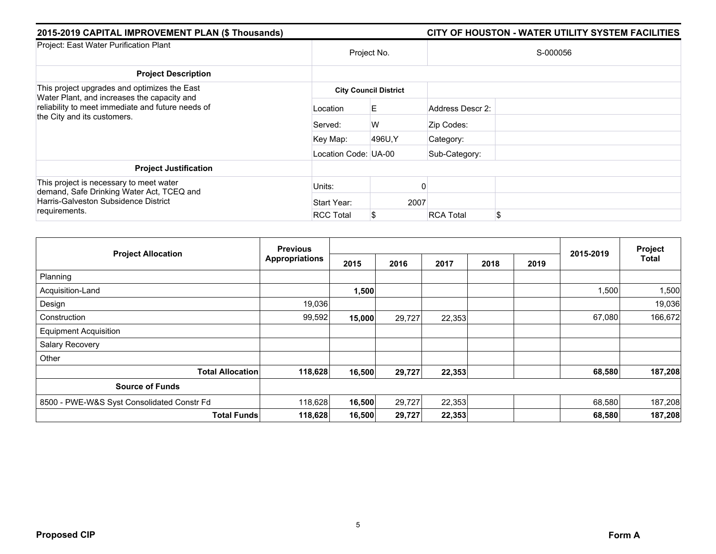| 2015-2019 CAPITAL IMPROVEMENT PLAN (\$ Thousands)                                                                               |                      |                              | CITY OF HOUSTON - WATER UTILITY SYSTEM FACILITIES |    |  |  |  |  |  |
|---------------------------------------------------------------------------------------------------------------------------------|----------------------|------------------------------|---------------------------------------------------|----|--|--|--|--|--|
| Project: East Water Purification Plant                                                                                          | Project No.          |                              | S-000056                                          |    |  |  |  |  |  |
| <b>Project Description</b>                                                                                                      |                      |                              |                                                   |    |  |  |  |  |  |
| This project upgrades and optimizes the East                                                                                    |                      | <b>City Council District</b> |                                                   |    |  |  |  |  |  |
| Water Plant, and increases the capacity and<br>reliability to meet immediate and future needs of<br>the City and its customers. | Location             | E.                           | Address Descr 2:                                  |    |  |  |  |  |  |
|                                                                                                                                 | Served:              | W                            | Zip Codes:                                        |    |  |  |  |  |  |
|                                                                                                                                 | Key Map:             | 496U, Y                      | Category:                                         |    |  |  |  |  |  |
|                                                                                                                                 | Location Code: UA-00 |                              | Sub-Category:                                     |    |  |  |  |  |  |
| <b>Project Justification</b>                                                                                                    |                      |                              |                                                   |    |  |  |  |  |  |
| This project is necessary to meet water<br>demand, Safe Drinking Water Act, TCEQ and<br>Harris-Galveston Subsidence District    | Units:               |                              |                                                   |    |  |  |  |  |  |
|                                                                                                                                 | Start Year:          | 2007                         |                                                   |    |  |  |  |  |  |
| requirements.                                                                                                                   | <b>RCC Total</b>     | S                            | <b>RCA Total</b>                                  | \$ |  |  |  |  |  |

| <b>Project Allocation</b>                  | <b>Previous</b>       |        |        |        |      |      |           | Project      |
|--------------------------------------------|-----------------------|--------|--------|--------|------|------|-----------|--------------|
|                                            | <b>Appropriations</b> | 2015   | 2016   | 2017   | 2018 | 2019 | 2015-2019 | <b>Total</b> |
| Planning                                   |                       |        |        |        |      |      |           |              |
| Acquisition-Land                           |                       | 1,500  |        |        |      |      | 1,500     | 1,500        |
| Design                                     | 19,036                |        |        |        |      |      |           | 19,036       |
| Construction                               | 99,592                | 15,000 | 29,727 | 22,353 |      |      | 67,080    | 166,672      |
| <b>Equipment Acquisition</b>               |                       |        |        |        |      |      |           |              |
| Salary Recovery                            |                       |        |        |        |      |      |           |              |
| Other                                      |                       |        |        |        |      |      |           |              |
| <b>Total Allocation</b>                    | 118,628               | 16,500 | 29,727 | 22,353 |      |      | 68,580    | 187,208      |
| <b>Source of Funds</b>                     |                       |        |        |        |      |      |           |              |
| 8500 - PWE-W&S Syst Consolidated Constr Fd | 118,628               | 16,500 | 29,727 | 22,353 |      |      | 68,580    | 187,208      |
| <b>Total Funds</b>                         | 118,628               | 16,500 | 29,727 | 22,353 |      |      | 68,580    | 187,208      |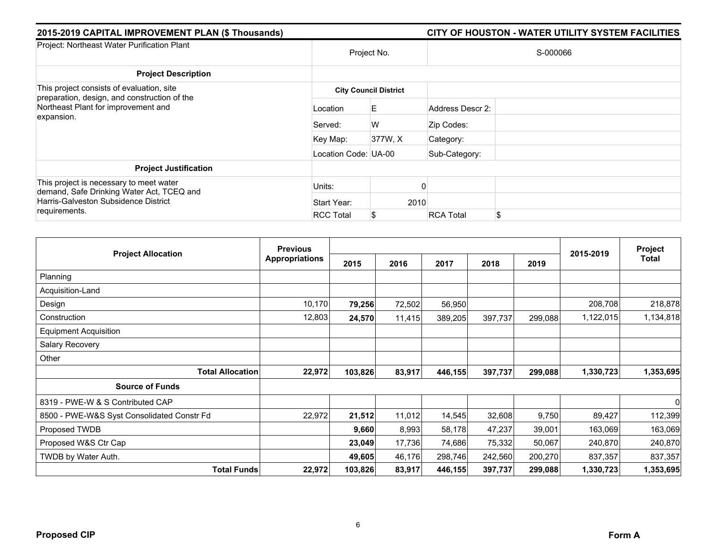| 2015-2019 CAPITAL IMPROVEMENT PLAN (\$ Thousands)                                                                            |                      |                              |                  | CITY OF HOUSTON - WATER UTILITY SYSTEM FACILITIES |  |  |  |  |
|------------------------------------------------------------------------------------------------------------------------------|----------------------|------------------------------|------------------|---------------------------------------------------|--|--|--|--|
| Project: Northeast Water Purification Plant                                                                                  |                      | Project No.                  |                  | S-000066                                          |  |  |  |  |
| <b>Project Description</b>                                                                                                   |                      |                              |                  |                                                   |  |  |  |  |
| This project consists of evaluation, site<br>preparation, design, and construction of the                                    |                      | <b>City Council District</b> |                  |                                                   |  |  |  |  |
| Northeast Plant for improvement and<br>expansion.                                                                            | Location             | E.                           | Address Descr 2: |                                                   |  |  |  |  |
|                                                                                                                              | Served:              | W                            | Zip Codes:       |                                                   |  |  |  |  |
|                                                                                                                              | Key Map:             | 377W, X                      | Category:        |                                                   |  |  |  |  |
|                                                                                                                              | Location Code: UA-00 |                              | Sub-Category:    |                                                   |  |  |  |  |
| <b>Project Justification</b>                                                                                                 |                      |                              |                  |                                                   |  |  |  |  |
| This project is necessary to meet water<br>demand, Safe Drinking Water Act, TCEQ and<br>Harris-Galveston Subsidence District | Units:               |                              |                  |                                                   |  |  |  |  |
|                                                                                                                              | Start Year:          | 2010                         |                  |                                                   |  |  |  |  |
| requirements.                                                                                                                | <b>RCC Total</b>     | S                            | <b>RCA Total</b> | <sup>\$</sup>                                     |  |  |  |  |

|                                            | <b>Previous</b>       |         |        |         |         |         |           | Project   |
|--------------------------------------------|-----------------------|---------|--------|---------|---------|---------|-----------|-----------|
| <b>Project Allocation</b>                  | <b>Appropriations</b> | 2015    | 2016   | 2017    | 2018    | 2019    | 2015-2019 | Total     |
| Planning                                   |                       |         |        |         |         |         |           |           |
| Acquisition-Land                           |                       |         |        |         |         |         |           |           |
| Design                                     | 10,170                | 79,256  | 72,502 | 56,950  |         |         | 208,708   | 218,878   |
| Construction                               | 12,803                | 24,570  | 11,415 | 389,205 | 397,737 | 299,088 | 1,122,015 | 1,134,818 |
| <b>Equipment Acquisition</b>               |                       |         |        |         |         |         |           |           |
| Salary Recovery                            |                       |         |        |         |         |         |           |           |
| Other                                      |                       |         |        |         |         |         |           |           |
| <b>Total Allocation</b>                    | 22,972                | 103,826 | 83,917 | 446,155 | 397,737 | 299,088 | 1,330,723 | 1,353,695 |
| <b>Source of Funds</b>                     |                       |         |        |         |         |         |           |           |
| 8319 - PWE-W & S Contributed CAP           |                       |         |        |         |         |         |           | 0         |
| 8500 - PWE-W&S Syst Consolidated Constr Fd | 22,972                | 21,512  | 11,012 | 14,545  | 32,608  | 9,750   | 89,427    | 112,399   |
| Proposed TWDB                              |                       | 9,660   | 8,993  | 58,178  | 47,237  | 39,001  | 163,069   | 163,069   |
| Proposed W&S Ctr Cap                       |                       | 23,049  | 17,736 | 74,686  | 75,332  | 50,067  | 240,870   | 240,870   |
| TWDB by Water Auth.                        |                       | 49,605  | 46,176 | 298,746 | 242,560 | 200,270 | 837,357   | 837,357   |
| <b>Total Funds</b>                         | 22,972                | 103,826 | 83,917 | 446,155 | 397,737 | 299,088 | 1,330,723 | 1,353,695 |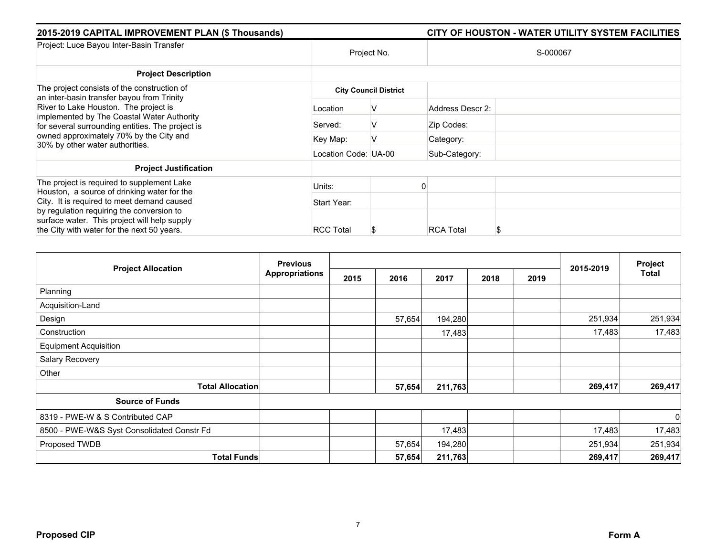| 2015-2019 CAPITAL IMPROVEMENT PLAN (\$ Thousands)                                                                                       |                      |                              | CITY OF HOUSTON - WATER UTILITY SYSTEM FACILITIES |  |  |  |  |
|-----------------------------------------------------------------------------------------------------------------------------------------|----------------------|------------------------------|---------------------------------------------------|--|--|--|--|
| Project: Luce Bayou Inter-Basin Transfer                                                                                                | Project No.          |                              | S-000067                                          |  |  |  |  |
| <b>Project Description</b>                                                                                                              |                      |                              |                                                   |  |  |  |  |
| The project consists of the construction of<br>an inter-basin transfer bayou from Trinity                                               |                      | <b>City Council District</b> |                                                   |  |  |  |  |
| River to Lake Houston. The project is<br>implemented by The Coastal Water Authority<br>for several surrounding entities. The project is | Location             | V                            | Address Descr 2:                                  |  |  |  |  |
|                                                                                                                                         | Served:              | V                            | Zip Codes:                                        |  |  |  |  |
| owned approximately 70% by the City and<br>30% by other water authorities.                                                              | Key Map:             | V                            | Category:                                         |  |  |  |  |
|                                                                                                                                         | Location Code: UA-00 |                              | Sub-Category:                                     |  |  |  |  |
| <b>Project Justification</b>                                                                                                            |                      |                              |                                                   |  |  |  |  |
| The project is required to supplement Lake<br>Houston, a source of drinking water for the                                               | Units:               |                              |                                                   |  |  |  |  |
| City. It is required to meet demand caused                                                                                              | Start Year:          |                              |                                                   |  |  |  |  |
| by regulation requiring the conversion to<br>surface water. This project will help supply                                               |                      |                              |                                                   |  |  |  |  |
| the City with water for the next 50 years.                                                                                              | <b>RCC Total</b>     | S                            | <b>RCA Total</b>                                  |  |  |  |  |

|                                            | <b>Previous</b>       |      |        |         |      |      | 2015-2019 | Project        |
|--------------------------------------------|-----------------------|------|--------|---------|------|------|-----------|----------------|
| <b>Project Allocation</b>                  | <b>Appropriations</b> | 2015 | 2016   | 2017    | 2018 | 2019 |           | Total          |
| Planning                                   |                       |      |        |         |      |      |           |                |
| Acquisition-Land                           |                       |      |        |         |      |      |           |                |
| Design                                     |                       |      | 57,654 | 194,280 |      |      | 251,934   | 251,934        |
| Construction                               |                       |      |        | 17,483  |      |      | 17,483    | 17,483         |
| <b>Equipment Acquisition</b>               |                       |      |        |         |      |      |           |                |
| Salary Recovery                            |                       |      |        |         |      |      |           |                |
| Other                                      |                       |      |        |         |      |      |           |                |
| <b>Total Allocation</b>                    |                       |      | 57,654 | 211,763 |      |      | 269,417   | 269,417        |
| <b>Source of Funds</b>                     |                       |      |        |         |      |      |           |                |
| 8319 - PWE-W & S Contributed CAP           |                       |      |        |         |      |      |           | $\overline{0}$ |
| 8500 - PWE-W&S Syst Consolidated Constr Fd |                       |      |        | 17,483  |      |      | 17,483    | 17,483         |
| Proposed TWDB                              |                       |      | 57,654 | 194,280 |      |      | 251,934   | 251,934        |
| <b>Total Funds</b>                         |                       |      | 57,654 | 211,763 |      |      | 269,417   | 269,417        |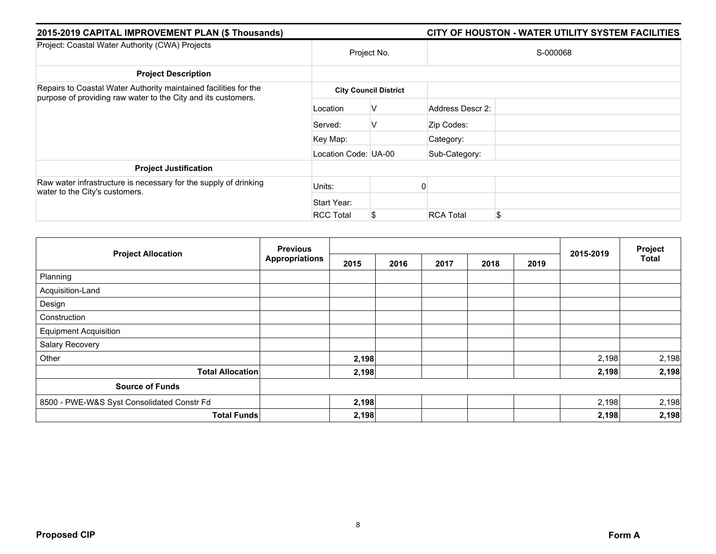| 2015-2019 CAPITAL IMPROVEMENT PLAN (\$ Thousands)                                                                                 |                      |                              | CITY OF HOUSTON - WATER UTILITY SYSTEM FACILITIES |
|-----------------------------------------------------------------------------------------------------------------------------------|----------------------|------------------------------|---------------------------------------------------|
| Project: Coastal Water Authority (CWA) Projects                                                                                   |                      | Project No.                  | S-000068                                          |
| <b>Project Description</b>                                                                                                        |                      |                              |                                                   |
| Repairs to Coastal Water Authority maintained facilities for the<br>purpose of providing raw water to the City and its customers. |                      | <b>City Council District</b> |                                                   |
|                                                                                                                                   | Location             | V                            | Address Descr 2:                                  |
|                                                                                                                                   | Served:              | V                            | Zip Codes:                                        |
|                                                                                                                                   | Key Map:             |                              | Category:                                         |
|                                                                                                                                   | Location Code: UA-00 |                              | Sub-Category:                                     |
| <b>Project Justification</b>                                                                                                      |                      |                              |                                                   |
| Raw water infrastructure is necessary for the supply of drinking<br>water to the City's customers.                                | Units:               |                              |                                                   |
|                                                                                                                                   | Start Year:          |                              |                                                   |
|                                                                                                                                   | <b>RCC Total</b>     | S.                           | \$<br><b>RCA Total</b>                            |

|                                            | <b>Previous</b>       |       |      |      | Project |      |           |              |
|--------------------------------------------|-----------------------|-------|------|------|---------|------|-----------|--------------|
| <b>Project Allocation</b>                  | <b>Appropriations</b> | 2015  | 2016 | 2017 | 2018    | 2019 | 2015-2019 | <b>Total</b> |
| Planning                                   |                       |       |      |      |         |      |           |              |
| Acquisition-Land                           |                       |       |      |      |         |      |           |              |
| Design                                     |                       |       |      |      |         |      |           |              |
| Construction                               |                       |       |      |      |         |      |           |              |
| <b>Equipment Acquisition</b>               |                       |       |      |      |         |      |           |              |
| Salary Recovery                            |                       |       |      |      |         |      |           |              |
| Other                                      |                       | 2,198 |      |      |         |      | 2,198     | 2,198        |
| <b>Total Allocation</b>                    |                       | 2,198 |      |      |         |      | 2,198     | 2,198        |
| <b>Source of Funds</b>                     |                       |       |      |      |         |      |           |              |
| 8500 - PWE-W&S Syst Consolidated Constr Fd |                       | 2,198 |      |      |         |      | 2,198     | 2,198        |
| <b>Total Funds</b>                         |                       | 2,198 |      |      |         |      | 2,198     | 2,198        |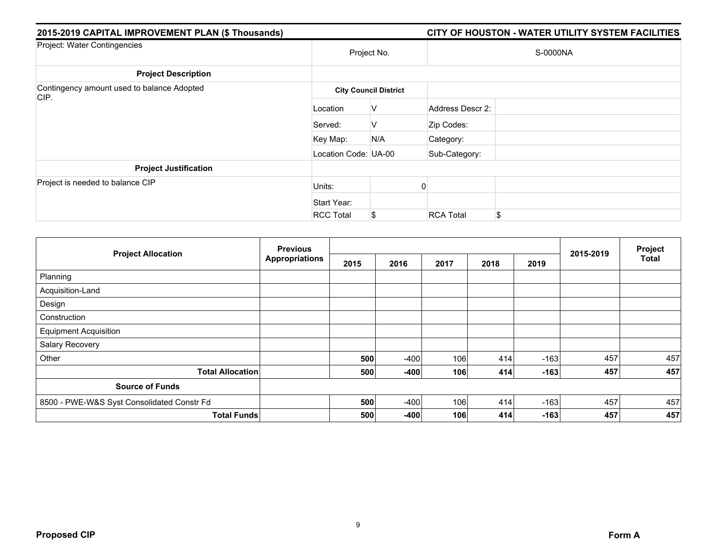| 2015-2019 CAPITAL IMPROVEMENT PLAN (\$ Thousands)  |                      |                              |                  | CITY OF HOUSTON - WATER UTILITY SYSTEM FACILITIES |  |  |  |
|----------------------------------------------------|----------------------|------------------------------|------------------|---------------------------------------------------|--|--|--|
| Project: Water Contingencies                       |                      | Project No.                  | S-0000NA         |                                                   |  |  |  |
| <b>Project Description</b>                         |                      |                              |                  |                                                   |  |  |  |
| Contingency amount used to balance Adopted<br>CIP. |                      | <b>City Council District</b> |                  |                                                   |  |  |  |
|                                                    | Location             | v                            | Address Descr 2: |                                                   |  |  |  |
|                                                    | Served:              | v                            | Zip Codes:       |                                                   |  |  |  |
|                                                    | Key Map:             | N/A                          | Category:        |                                                   |  |  |  |
|                                                    | Location Code: UA-00 |                              | Sub-Category:    |                                                   |  |  |  |
| <b>Project Justification</b>                       |                      |                              |                  |                                                   |  |  |  |
| Project is needed to balance CIP                   | Units:               |                              |                  |                                                   |  |  |  |
|                                                    | Start Year:          |                              |                  |                                                   |  |  |  |
|                                                    | <b>RCC Total</b>     | \$                           | <b>RCA Total</b> | \$                                                |  |  |  |

| <b>Project Allocation</b>                  | <b>Previous</b>       |      |        |      |      |        |           | Project      |
|--------------------------------------------|-----------------------|------|--------|------|------|--------|-----------|--------------|
|                                            | <b>Appropriations</b> | 2015 | 2016   | 2017 | 2018 | 2019   | 2015-2019 | <b>Total</b> |
| Planning                                   |                       |      |        |      |      |        |           |              |
| Acquisition-Land                           |                       |      |        |      |      |        |           |              |
| Design                                     |                       |      |        |      |      |        |           |              |
| Construction                               |                       |      |        |      |      |        |           |              |
| <b>Equipment Acquisition</b>               |                       |      |        |      |      |        |           |              |
| Salary Recovery                            |                       |      |        |      |      |        |           |              |
| Other                                      |                       | 500  | $-400$ | 106  | 414  | $-163$ | 457       | 457          |
| <b>Total Allocation</b>                    |                       | 500  | $-400$ | 106  | 414  | $-163$ | 457       | 457          |
| <b>Source of Funds</b>                     |                       |      |        |      |      |        |           |              |
| 8500 - PWE-W&S Syst Consolidated Constr Fd |                       | 500  | $-400$ | 106  | 414  | $-163$ | 457       | 457          |
| <b>Total Funds</b>                         |                       | 500  | $-400$ | 106  | 414  | $-163$ | 457       | 457          |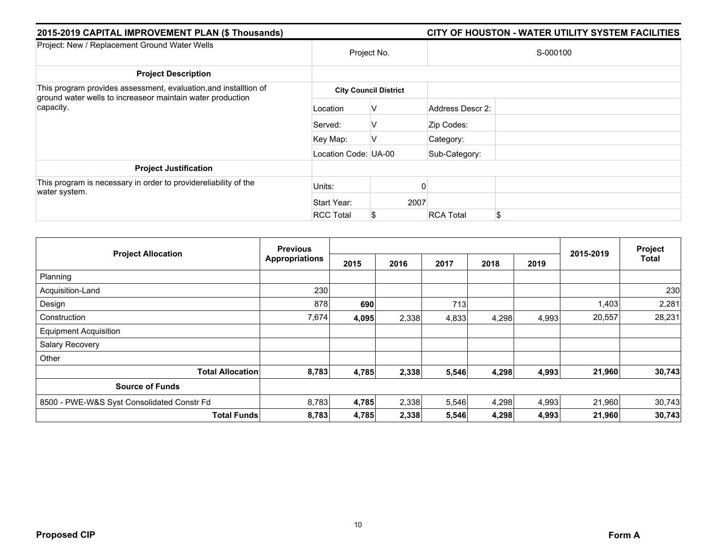| 2015-2019 CAPITAL IMPROVEMENT PLAN (\$ Thousands)                                                                              |                      | CITY OF HOUSTON - WATER UTILITY SYSTEM FACILITIES |                  |    |  |  |
|--------------------------------------------------------------------------------------------------------------------------------|----------------------|---------------------------------------------------|------------------|----|--|--|
| Project: New / Replacement Ground Water Wells                                                                                  | Project No.          |                                                   | S-000100         |    |  |  |
| <b>Project Description</b>                                                                                                     |                      |                                                   |                  |    |  |  |
| This program provides assessment, evaluation, and installtion of<br>ground water wells to increaseor maintain water production |                      | <b>City Council District</b>                      |                  |    |  |  |
| capacity.                                                                                                                      | Location             | V                                                 | Address Descr 2: |    |  |  |
|                                                                                                                                | Served:              | V                                                 | Zip Codes:       |    |  |  |
|                                                                                                                                | Key Map:             | V                                                 | Category:        |    |  |  |
|                                                                                                                                | Location Code: UA-00 |                                                   | Sub-Category:    |    |  |  |
| <b>Project Justification</b>                                                                                                   |                      |                                                   |                  |    |  |  |
| This program is necessary in order to providereliability of the<br>water system.                                               | Units:               |                                                   |                  |    |  |  |
|                                                                                                                                | Start Year:          | 2007                                              |                  |    |  |  |
|                                                                                                                                | <b>RCC Total</b>     | \$                                                | <b>RCA Total</b> | \$ |  |  |

| <b>Project Allocation</b>                  | <b>Previous</b>       |       |       |       |       | Project |           |        |
|--------------------------------------------|-----------------------|-------|-------|-------|-------|---------|-----------|--------|
|                                            | <b>Appropriations</b> | 2015  | 2016  | 2017  | 2018  | 2019    | 2015-2019 | Total  |
| Planning                                   |                       |       |       |       |       |         |           |        |
| Acquisition-Land                           | 230                   |       |       |       |       |         |           | 230    |
| Design                                     | 878                   | 690   |       | 713   |       |         | 1,403     | 2,281  |
| Construction                               | 7,674                 | 4,095 | 2,338 | 4,833 | 4,298 | 4,993   | 20,557    | 28,231 |
| <b>Equipment Acquisition</b>               |                       |       |       |       |       |         |           |        |
| Salary Recovery                            |                       |       |       |       |       |         |           |        |
| Other                                      |                       |       |       |       |       |         |           |        |
| <b>Total Allocation</b>                    | 8,783                 | 4,785 | 2,338 | 5,546 | 4,298 | 4,993   | 21,960    | 30,743 |
| <b>Source of Funds</b>                     |                       |       |       |       |       |         |           |        |
| 8500 - PWE-W&S Syst Consolidated Constr Fd | 8,783                 | 4,785 | 2,338 | 5,546 | 4,298 | 4,993   | 21,960    | 30,743 |
| <b>Total Funds</b>                         | 8,783                 | 4,785 | 2,338 | 5,546 | 4,298 | 4,993   | 21,960    | 30,743 |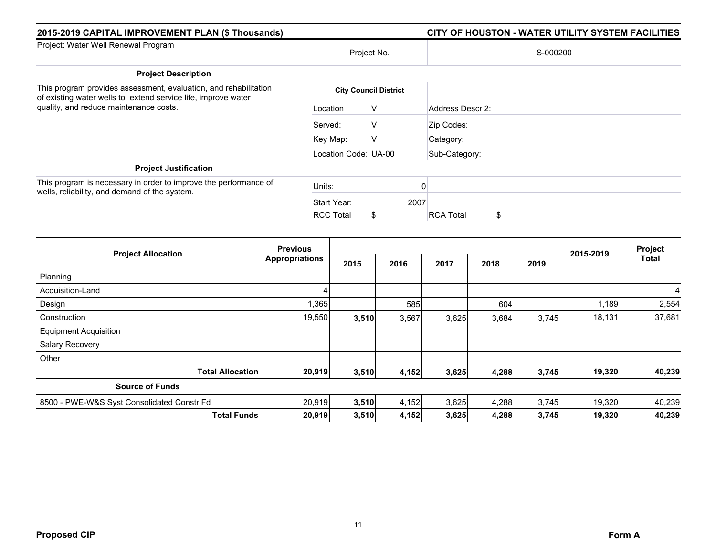| 2015-2019 CAPITAL IMPROVEMENT PLAN (\$ Thousands)                                                                 |                      |                              | CITY OF HOUSTON - WATER UTILITY SYSTEM FACILITIES |  |  |  |  |
|-------------------------------------------------------------------------------------------------------------------|----------------------|------------------------------|---------------------------------------------------|--|--|--|--|
| Project: Water Well Renewal Program                                                                               |                      | Project No.                  | S-000200                                          |  |  |  |  |
| <b>Project Description</b>                                                                                        |                      |                              |                                                   |  |  |  |  |
| This program provides assessment, evaluation, and rehabilitation                                                  |                      | <b>City Council District</b> |                                                   |  |  |  |  |
| of existing water wells to extend service life, improve water<br>quality, and reduce maintenance costs.           | Location             | v                            | Address Descr 2:                                  |  |  |  |  |
|                                                                                                                   | Served:              | v                            | Zip Codes:                                        |  |  |  |  |
|                                                                                                                   | Key Map:             |                              | Category:                                         |  |  |  |  |
|                                                                                                                   | Location Code: UA-00 |                              | Sub-Category:                                     |  |  |  |  |
| <b>Project Justification</b>                                                                                      |                      |                              |                                                   |  |  |  |  |
| This program is necessary in order to improve the performance of<br>wells, reliability, and demand of the system. | Units:               |                              |                                                   |  |  |  |  |
|                                                                                                                   | Start Year:          | 2007                         |                                                   |  |  |  |  |
|                                                                                                                   | <b>RCC Total</b>     |                              | \$<br><b>RCA Total</b>                            |  |  |  |  |

| <b>Project Allocation</b>                  | <b>Previous</b>       |       |       |       |       | Project |           |        |
|--------------------------------------------|-----------------------|-------|-------|-------|-------|---------|-----------|--------|
|                                            | <b>Appropriations</b> | 2015  | 2016  | 2017  | 2018  | 2019    | 2015-2019 | Total  |
| Planning                                   |                       |       |       |       |       |         |           |        |
| Acquisition-Land                           |                       |       |       |       |       |         |           | 4      |
| Design                                     | 1,365                 |       | 585   |       | 604   |         | 1,189     | 2,554  |
| Construction                               | 19,550                | 3,510 | 3,567 | 3,625 | 3,684 | 3,745   | 18,131    | 37,681 |
| <b>Equipment Acquisition</b>               |                       |       |       |       |       |         |           |        |
| Salary Recovery                            |                       |       |       |       |       |         |           |        |
| Other                                      |                       |       |       |       |       |         |           |        |
| <b>Total Allocation</b>                    | 20,919                | 3,510 | 4,152 | 3,625 | 4,288 | 3,745   | 19,320    | 40,239 |
| <b>Source of Funds</b>                     |                       |       |       |       |       |         |           |        |
| 8500 - PWE-W&S Syst Consolidated Constr Fd | 20,919                | 3,510 | 4,152 | 3,625 | 4,288 | 3,745   | 19,320    | 40,239 |
| <b>Total Funds</b>                         | 20,919                | 3,510 | 4,152 | 3,625 | 4,288 | 3,745   | 19,320    | 40,239 |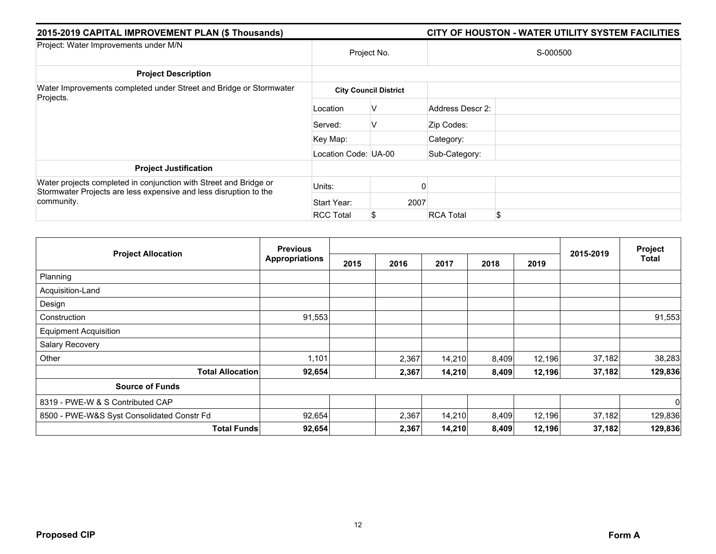| 2015-2019 CAPITAL IMPROVEMENT PLAN (\$ Thousands)                                                                                      |                      |                              | CITY OF HOUSTON - WATER UTILITY SYSTEM FACILITIES |  |  |  |  |
|----------------------------------------------------------------------------------------------------------------------------------------|----------------------|------------------------------|---------------------------------------------------|--|--|--|--|
| Project: Water Improvements under M/N                                                                                                  |                      | Project No.                  | S-000500                                          |  |  |  |  |
| <b>Project Description</b>                                                                                                             |                      |                              |                                                   |  |  |  |  |
| Water Improvements completed under Street and Bridge or Stormwater                                                                     |                      | <b>City Council District</b> |                                                   |  |  |  |  |
| Projects.                                                                                                                              | Location             | V                            | Address Descr 2:                                  |  |  |  |  |
|                                                                                                                                        | Served:              | v                            | Zip Codes:                                        |  |  |  |  |
|                                                                                                                                        | Key Map:             |                              | Category:                                         |  |  |  |  |
|                                                                                                                                        | Location Code: UA-00 |                              | Sub-Category:                                     |  |  |  |  |
| <b>Project Justification</b>                                                                                                           |                      |                              |                                                   |  |  |  |  |
| Water projects completed in conjunction with Street and Bridge or<br>Stormwater Projects are less expensive and less disruption to the | Units:               |                              |                                                   |  |  |  |  |
| community.                                                                                                                             | Start Year:          | 2007                         |                                                   |  |  |  |  |
|                                                                                                                                        | <b>RCC Total</b>     | S.                           | \$<br><b>RCA Total</b>                            |  |  |  |  |

| <b>Project Allocation</b>                  | <b>Previous</b>       |      |       |        |       |        |           | Project<br><b>Total</b> |
|--------------------------------------------|-----------------------|------|-------|--------|-------|--------|-----------|-------------------------|
|                                            | <b>Appropriations</b> | 2015 | 2016  | 2017   | 2018  | 2019   | 2015-2019 |                         |
| Planning                                   |                       |      |       |        |       |        |           |                         |
| Acquisition-Land                           |                       |      |       |        |       |        |           |                         |
| Design                                     |                       |      |       |        |       |        |           |                         |
| Construction                               | 91,553                |      |       |        |       |        |           | 91,553                  |
| <b>Equipment Acquisition</b>               |                       |      |       |        |       |        |           |                         |
| Salary Recovery                            |                       |      |       |        |       |        |           |                         |
| Other                                      | 1,101                 |      | 2,367 | 14,210 | 8,409 | 12,196 | 37,182    | 38,283                  |
| <b>Total Allocation</b>                    | 92,654                |      | 2,367 | 14,210 | 8,409 | 12,196 | 37,182    | 129,836                 |
| <b>Source of Funds</b>                     |                       |      |       |        |       |        |           |                         |
| 8319 - PWE-W & S Contributed CAP           |                       |      |       |        |       |        |           | $\mathbf 0$             |
| 8500 - PWE-W&S Syst Consolidated Constr Fd | 92,654                |      | 2,367 | 14,210 | 8,409 | 12,196 | 37,182    | 129,836                 |
| <b>Total Funds</b>                         | 92,654                |      | 2,367 | 14,210 | 8,409 | 12,196 | 37,182    | 129,836                 |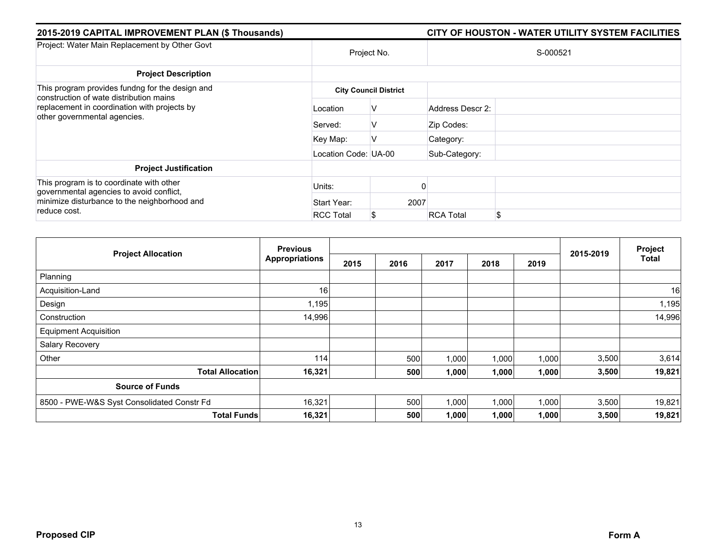| 2015-2019 CAPITAL IMPROVEMENT PLAN (\$ Thousands)                                                                                                    |                      |                              |                  | CITY OF HOUSTON - WATER UTILITY SYSTEM FACILITIES |  |  |
|------------------------------------------------------------------------------------------------------------------------------------------------------|----------------------|------------------------------|------------------|---------------------------------------------------|--|--|
| Project: Water Main Replacement by Other Govt                                                                                                        | Project No.          |                              | S-000521         |                                                   |  |  |
| <b>Project Description</b>                                                                                                                           |                      |                              |                  |                                                   |  |  |
| This program provides fundng for the design and<br>construction of wate distribution mains                                                           |                      | <b>City Council District</b> |                  |                                                   |  |  |
| replacement in coordination with projects by<br>other governmental agencies.                                                                         | Location             | V                            | Address Descr 2: |                                                   |  |  |
|                                                                                                                                                      | Served:              | V                            | Zip Codes:       |                                                   |  |  |
|                                                                                                                                                      | Key Map:             | v                            | Category:        |                                                   |  |  |
|                                                                                                                                                      | Location Code: UA-00 |                              | Sub-Category:    |                                                   |  |  |
| <b>Project Justification</b>                                                                                                                         |                      |                              |                  |                                                   |  |  |
| This program is to coordinate with other<br>governmental agencies to avoid conflict,<br>minimize disturbance to the neighborhood and<br>reduce cost. | Units:               |                              |                  |                                                   |  |  |
|                                                                                                                                                      | Start Year:          | 2007                         |                  |                                                   |  |  |
|                                                                                                                                                      | <b>RCC Total</b>     | S                            | <b>RCA Total</b> | \$                                                |  |  |

| <b>Project Allocation</b>                  | <b>Previous</b>       |      |      |       |       |       |           | Project |
|--------------------------------------------|-----------------------|------|------|-------|-------|-------|-----------|---------|
|                                            | <b>Appropriations</b> | 2015 | 2016 | 2017  | 2018  | 2019  | 2015-2019 | Total   |
| Planning                                   |                       |      |      |       |       |       |           |         |
| Acquisition-Land                           | 16                    |      |      |       |       |       |           | 16      |
| Design                                     | 1,195                 |      |      |       |       |       |           | 1,195   |
| Construction                               | 14,996                |      |      |       |       |       |           | 14,996  |
| <b>Equipment Acquisition</b>               |                       |      |      |       |       |       |           |         |
| Salary Recovery                            |                       |      |      |       |       |       |           |         |
| Other                                      | 114                   |      | 500  | 1,000 | 1,000 | 1,000 | 3,500     | 3,614   |
| <b>Total Allocation</b>                    | 16,321                |      | 500  | 1,000 | 1,000 | 1,000 | 3,500     | 19,821  |
| <b>Source of Funds</b>                     |                       |      |      |       |       |       |           |         |
| 8500 - PWE-W&S Syst Consolidated Constr Fd | 16,321                |      | 500  | 1,000 | 1,000 | 1,000 | 3,500     | 19,821  |
| <b>Total Funds</b>                         | 16,321                |      | 500  | 1,000 | 1,000 | 1,000 | 3,500     | 19,821  |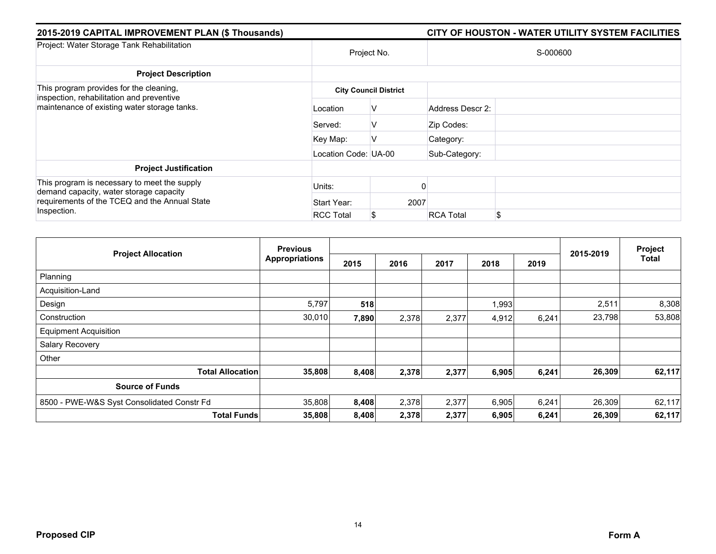| 2015-2019 CAPITAL IMPROVEMENT PLAN (\$ Thousands)                                                                                                       |                      |                              | CITY OF HOUSTON - WATER UTILITY SYSTEM FACILITIES |
|---------------------------------------------------------------------------------------------------------------------------------------------------------|----------------------|------------------------------|---------------------------------------------------|
| Project: Water Storage Tank Rehabilitation                                                                                                              | Project No.          |                              | S-000600                                          |
| <b>Project Description</b>                                                                                                                              |                      |                              |                                                   |
| This program provides for the cleaning,<br>inspection, rehabilitation and preventive<br>maintenance of existing water storage tanks.                    |                      | <b>City Council District</b> |                                                   |
|                                                                                                                                                         | Location             | V                            | Address Descr 2:                                  |
|                                                                                                                                                         | Served:              | v                            | Zip Codes:                                        |
|                                                                                                                                                         | Key Map:             | ν                            | Category:                                         |
|                                                                                                                                                         | Location Code: UA-00 |                              | Sub-Category:                                     |
| <b>Project Justification</b>                                                                                                                            |                      |                              |                                                   |
| This program is necessary to meet the supply<br>demand capacity, water storage capacity<br>requirements of the TCEQ and the Annual State<br>Inspection. | Units:               |                              |                                                   |
|                                                                                                                                                         | Start Year:          | 2007                         |                                                   |
|                                                                                                                                                         | <b>RCC Total</b>     | S                            | \$<br><b>RCA Total</b>                            |

| <b>Project Allocation</b>                  | <b>Previous</b>       |       |       |       |       | Project |           |              |
|--------------------------------------------|-----------------------|-------|-------|-------|-------|---------|-----------|--------------|
|                                            | <b>Appropriations</b> | 2015  | 2016  | 2017  | 2018  | 2019    | 2015-2019 | <b>Total</b> |
| Planning                                   |                       |       |       |       |       |         |           |              |
| Acquisition-Land                           |                       |       |       |       |       |         |           |              |
| Design                                     | 5,797                 | 518   |       |       | 1,993 |         | 2,511     | 8,308        |
| Construction                               | 30,010                | 7,890 | 2,378 | 2,377 | 4,912 | 6,241   | 23,798    | 53,808       |
| <b>Equipment Acquisition</b>               |                       |       |       |       |       |         |           |              |
| Salary Recovery                            |                       |       |       |       |       |         |           |              |
| Other                                      |                       |       |       |       |       |         |           |              |
| <b>Total Allocation</b>                    | 35,808                | 8,408 | 2,378 | 2,377 | 6,905 | 6,241   | 26,309    | 62,117       |
| <b>Source of Funds</b>                     |                       |       |       |       |       |         |           |              |
| 8500 - PWE-W&S Syst Consolidated Constr Fd | 35,808                | 8,408 | 2,378 | 2,377 | 6,905 | 6,241   | 26,309    | 62,117       |
| <b>Total Funds</b>                         | 35,808                | 8,408 | 2,378 | 2,377 | 6,905 | 6,241   | 26,309    | 62,117       |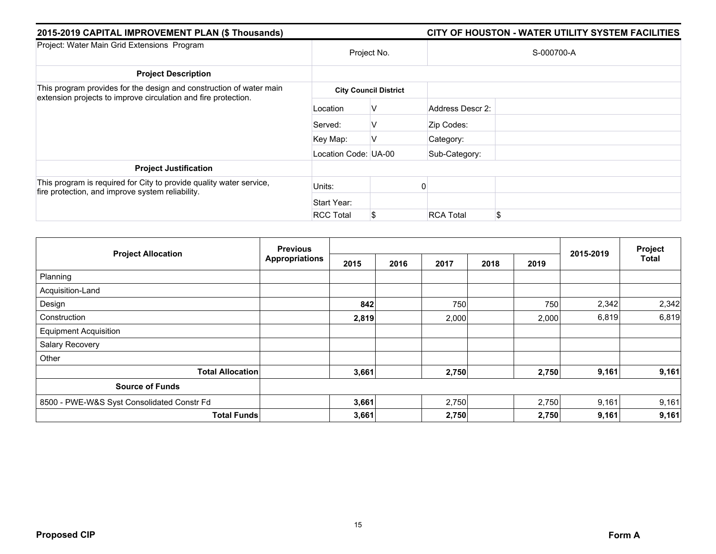| 2015-2019 CAPITAL IMPROVEMENT PLAN (\$ Thousands)                                                                                     |                      |                              | CITY OF HOUSTON - WATER UTILITY SYSTEM FACILITIES |    |  |  |  |
|---------------------------------------------------------------------------------------------------------------------------------------|----------------------|------------------------------|---------------------------------------------------|----|--|--|--|
| Project: Water Main Grid Extensions Program                                                                                           | Project No.          |                              | S-000700-A                                        |    |  |  |  |
| <b>Project Description</b>                                                                                                            |                      |                              |                                                   |    |  |  |  |
| This program provides for the design and construction of water main<br>extension projects to improve circulation and fire protection. |                      | <b>City Council District</b> |                                                   |    |  |  |  |
|                                                                                                                                       | Location             | V                            | Address Descr 2:                                  |    |  |  |  |
|                                                                                                                                       | Served:              | V                            | Zip Codes:                                        |    |  |  |  |
|                                                                                                                                       | Key Map:             | V                            | Category:                                         |    |  |  |  |
|                                                                                                                                       | Location Code: UA-00 |                              | Sub-Category:                                     |    |  |  |  |
| <b>Project Justification</b>                                                                                                          |                      |                              |                                                   |    |  |  |  |
| This program is required for City to provide quality water service,<br>fire protection, and improve system reliability.               | Units:               |                              |                                                   |    |  |  |  |
|                                                                                                                                       | Start Year:          |                              |                                                   |    |  |  |  |
|                                                                                                                                       | <b>RCC Total</b>     | \$                           | <b>RCA Total</b>                                  | £. |  |  |  |

|                                            | <b>Previous</b><br><b>Appropriations</b> |       |      |       |      | Project |           |              |
|--------------------------------------------|------------------------------------------|-------|------|-------|------|---------|-----------|--------------|
| <b>Project Allocation</b>                  |                                          | 2015  | 2016 | 2017  | 2018 | 2019    | 2015-2019 | <b>Total</b> |
| Planning                                   |                                          |       |      |       |      |         |           |              |
| Acquisition-Land                           |                                          |       |      |       |      |         |           |              |
| Design                                     |                                          | 842   |      | 750   |      | 750     | 2,342     | 2,342        |
| Construction                               |                                          | 2,819 |      | 2,000 |      | 2,000   | 6,819     | 6,819        |
| <b>Equipment Acquisition</b>               |                                          |       |      |       |      |         |           |              |
| Salary Recovery                            |                                          |       |      |       |      |         |           |              |
| Other                                      |                                          |       |      |       |      |         |           |              |
| <b>Total Allocation</b>                    |                                          | 3,661 |      | 2,750 |      | 2,750   | 9,161     | 9,161        |
| <b>Source of Funds</b>                     |                                          |       |      |       |      |         |           |              |
| 8500 - PWE-W&S Syst Consolidated Constr Fd |                                          | 3,661 |      | 2,750 |      | 2,750   | 9,161     | 9,161        |
| <b>Total Funds</b>                         |                                          | 3,661 |      | 2,750 |      | 2,750   | 9,161     | 9,161        |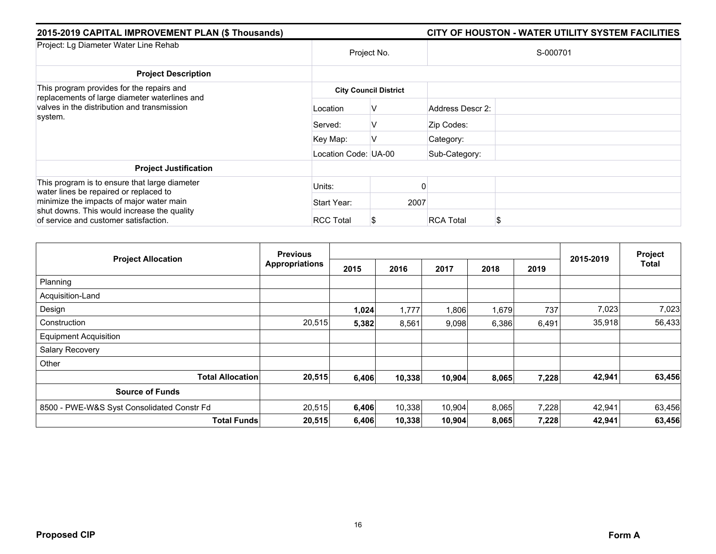| 2015-2019 CAPITAL IMPROVEMENT PLAN (\$ Thousands)                                                                                                                                                                           |                      |                              | CITY OF HOUSTON - WATER UTILITY SYSTEM FACILITIES |
|-----------------------------------------------------------------------------------------------------------------------------------------------------------------------------------------------------------------------------|----------------------|------------------------------|---------------------------------------------------|
| Project: Lg Diameter Water Line Rehab                                                                                                                                                                                       |                      | Project No.                  | S-000701                                          |
| <b>Project Description</b>                                                                                                                                                                                                  |                      |                              |                                                   |
| This program provides for the repairs and<br>replacements of large diameter waterlines and<br>valves in the distribution and transmission<br>system.                                                                        |                      | <b>City Council District</b> |                                                   |
|                                                                                                                                                                                                                             | Location             | ν                            | Address Descr 2:                                  |
|                                                                                                                                                                                                                             | Served:              | V                            | Zip Codes:                                        |
|                                                                                                                                                                                                                             | Key Map:             | v                            | Category:                                         |
|                                                                                                                                                                                                                             | Location Code: UA-00 |                              | Sub-Category:                                     |
| <b>Project Justification</b>                                                                                                                                                                                                |                      |                              |                                                   |
| This program is to ensure that large diameter<br>water lines be repaired or replaced to<br>minimize the impacts of major water main<br>shut downs. This would increase the quality<br>of service and customer satisfaction. | Units:               |                              |                                                   |
|                                                                                                                                                                                                                             | Start Year:          | 2007                         |                                                   |
|                                                                                                                                                                                                                             | <b>RCC Total</b>     |                              | <b>RCA Total</b><br>\$                            |

| <b>Project Allocation</b>                  | <b>Previous</b>       |       |        |        |       | Project |           |        |
|--------------------------------------------|-----------------------|-------|--------|--------|-------|---------|-----------|--------|
|                                            | <b>Appropriations</b> | 2015  | 2016   | 2017   | 2018  | 2019    | 2015-2019 | Total  |
| Planning                                   |                       |       |        |        |       |         |           |        |
| Acquisition-Land                           |                       |       |        |        |       |         |           |        |
| Design                                     |                       | 1,024 | 1,777  | 1,806  | 1,679 | 737     | 7,023     | 7,023  |
| Construction                               | 20,515                | 5,382 | 8,561  | 9,098  | 6,386 | 6,491   | 35,918    | 56,433 |
| <b>Equipment Acquisition</b>               |                       |       |        |        |       |         |           |        |
| Salary Recovery                            |                       |       |        |        |       |         |           |        |
| Other                                      |                       |       |        |        |       |         |           |        |
| <b>Total Allocation</b>                    | 20,515                | 6,406 | 10,338 | 10,904 | 8,065 | 7,228   | 42,941    | 63,456 |
| <b>Source of Funds</b>                     |                       |       |        |        |       |         |           |        |
| 8500 - PWE-W&S Syst Consolidated Constr Fd | 20,515                | 6,406 | 10,338 | 10,904 | 8,065 | 7,228   | 42,941    | 63,456 |
| <b>Total Funds</b>                         | 20,515                | 6,406 | 10,338 | 10,904 | 8,065 | 7,228   | 42,941    | 63,456 |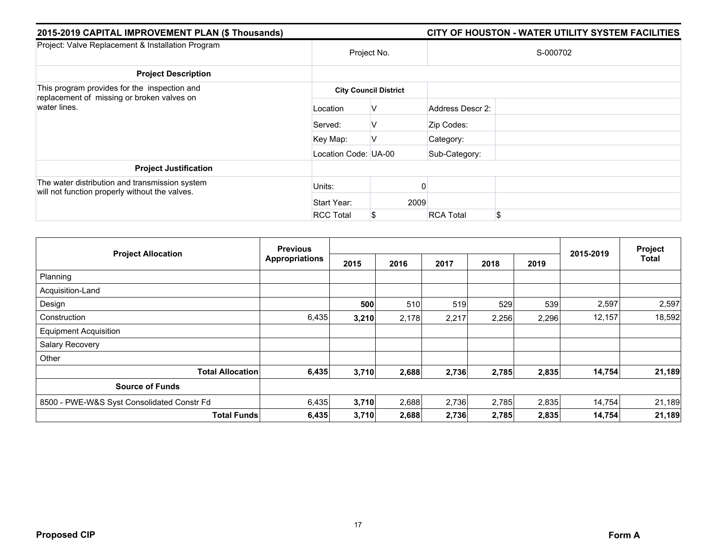| 2015-2019 CAPITAL IMPROVEMENT PLAN (\$ Thousands)                                                          |                      |                              |                  | CITY OF HOUSTON - WATER UTILITY SYSTEM FACILITIES |  |  |
|------------------------------------------------------------------------------------------------------------|----------------------|------------------------------|------------------|---------------------------------------------------|--|--|
| Project: Valve Replacement & Installation Program                                                          | Project No.          |                              | S-000702         |                                                   |  |  |
| <b>Project Description</b>                                                                                 |                      |                              |                  |                                                   |  |  |
| This program provides for the inspection and<br>replacement of missing or broken valves on<br>water lines. |                      | <b>City Council District</b> |                  |                                                   |  |  |
|                                                                                                            | Location             | V                            | Address Descr 2: |                                                   |  |  |
|                                                                                                            | Served:              | V                            | Zip Codes:       |                                                   |  |  |
|                                                                                                            | Key Map:             | V                            | Category:        |                                                   |  |  |
|                                                                                                            | Location Code: UA-00 |                              | Sub-Category:    |                                                   |  |  |
| <b>Project Justification</b>                                                                               |                      |                              |                  |                                                   |  |  |
| The water distribution and transmission system<br>will not function properly without the valves.           | Units:               |                              |                  |                                                   |  |  |
|                                                                                                            | Start Year:          | 2009                         |                  |                                                   |  |  |
|                                                                                                            | <b>RCC Total</b>     | \$                           | <b>RCA Total</b> | \$                                                |  |  |

| <b>Project Allocation</b>                  | <b>Previous</b>       |       |       |       |       | Project |           |              |
|--------------------------------------------|-----------------------|-------|-------|-------|-------|---------|-----------|--------------|
|                                            | <b>Appropriations</b> | 2015  | 2016  | 2017  | 2018  | 2019    | 2015-2019 | <b>Total</b> |
| Planning                                   |                       |       |       |       |       |         |           |              |
| Acquisition-Land                           |                       |       |       |       |       |         |           |              |
| Design                                     |                       | 500   | 510   | 519   | 529   | 539     | 2,597     | 2,597        |
| Construction                               | 6,435                 | 3,210 | 2,178 | 2,217 | 2,256 | 2,296   | 12,157    | 18,592       |
| <b>Equipment Acquisition</b>               |                       |       |       |       |       |         |           |              |
| Salary Recovery                            |                       |       |       |       |       |         |           |              |
| Other                                      |                       |       |       |       |       |         |           |              |
| <b>Total Allocation</b>                    | 6,435                 | 3,710 | 2,688 | 2,736 | 2,785 | 2,835   | 14,754    | 21,189       |
| <b>Source of Funds</b>                     |                       |       |       |       |       |         |           |              |
| 8500 - PWE-W&S Syst Consolidated Constr Fd | 6,435                 | 3,710 | 2,688 | 2,736 | 2,785 | 2,835   | 14,754    | 21,189       |
| <b>Total Funds</b>                         | 6,435                 | 3,710 | 2,688 | 2,736 | 2,785 | 2,835   | 14,754    | 21,189       |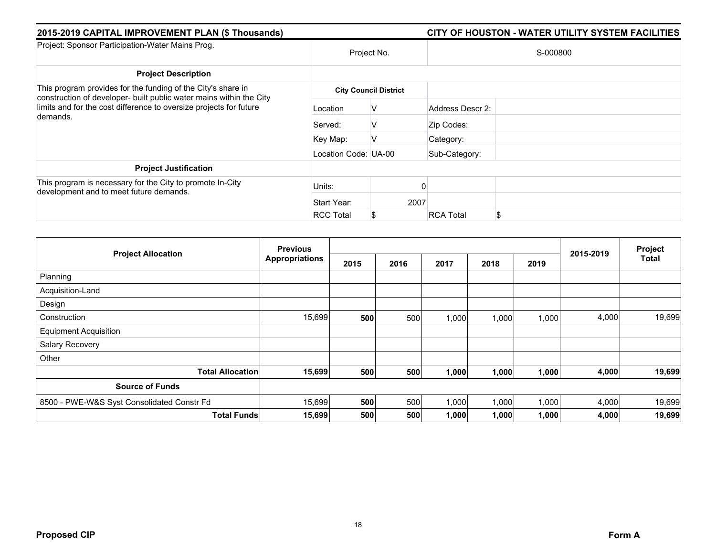| 2015-2019 CAPITAL IMPROVEMENT PLAN (\$ Thousands)                                                                                                     |                      |                              | CITY OF HOUSTON - WATER UTILITY SYSTEM FACILITIES |    |  |
|-------------------------------------------------------------------------------------------------------------------------------------------------------|----------------------|------------------------------|---------------------------------------------------|----|--|
| Project: Sponsor Participation-Water Mains Prog.                                                                                                      | Project No.          |                              | S-000800                                          |    |  |
| <b>Project Description</b>                                                                                                                            |                      |                              |                                                   |    |  |
| This program provides for the funding of the City's share in                                                                                          |                      | <b>City Council District</b> |                                                   |    |  |
| construction of developer- built public water mains within the City<br>limits and for the cost difference to oversize projects for future<br>demands. | Location             | V                            | Address Descr 2:                                  |    |  |
|                                                                                                                                                       | Served:              | V                            | Zip Codes:                                        |    |  |
|                                                                                                                                                       | Key Map:             | v                            | Category:                                         |    |  |
|                                                                                                                                                       | Location Code: UA-00 |                              | Sub-Category:                                     |    |  |
| <b>Project Justification</b>                                                                                                                          |                      |                              |                                                   |    |  |
| This program is necessary for the City to promote In-City<br>development and to meet future demands.                                                  | Units:               |                              |                                                   |    |  |
|                                                                                                                                                       | Start Year:          | 2007                         |                                                   |    |  |
|                                                                                                                                                       | <b>RCC Total</b>     | S                            | <b>RCA Total</b>                                  | \$ |  |

| <b>Project Allocation</b>                  |                         | <b>Previous</b>       |      |      |       |       | Project |           |              |
|--------------------------------------------|-------------------------|-----------------------|------|------|-------|-------|---------|-----------|--------------|
|                                            |                         | <b>Appropriations</b> | 2015 | 2016 | 2017  | 2018  | 2019    | 2015-2019 | <b>Total</b> |
| Planning                                   |                         |                       |      |      |       |       |         |           |              |
| Acquisition-Land                           |                         |                       |      |      |       |       |         |           |              |
| Design                                     |                         |                       |      |      |       |       |         |           |              |
| Construction                               |                         | 15,699                | 500  | 500  | 1,000 | 1,000 | 1,000   | 4,000     | 19,699       |
| <b>Equipment Acquisition</b>               |                         |                       |      |      |       |       |         |           |              |
| Salary Recovery                            |                         |                       |      |      |       |       |         |           |              |
| Other                                      |                         |                       |      |      |       |       |         |           |              |
|                                            | <b>Total Allocation</b> | 15,699                | 500  | 500  | 1,000 | 1,000 | 1,000   | 4,000     | 19,699       |
| <b>Source of Funds</b>                     |                         |                       |      |      |       |       |         |           |              |
| 8500 - PWE-W&S Syst Consolidated Constr Fd |                         | 15,699                | 500  | 500  | 1,000 | 1,000 | 1,000   | 4,000     | 19,699       |
|                                            | <b>Total Funds</b>      | 15,699                | 500  | 500  | 1,000 | 1,000 | 1,000   | 4,000     | 19,699       |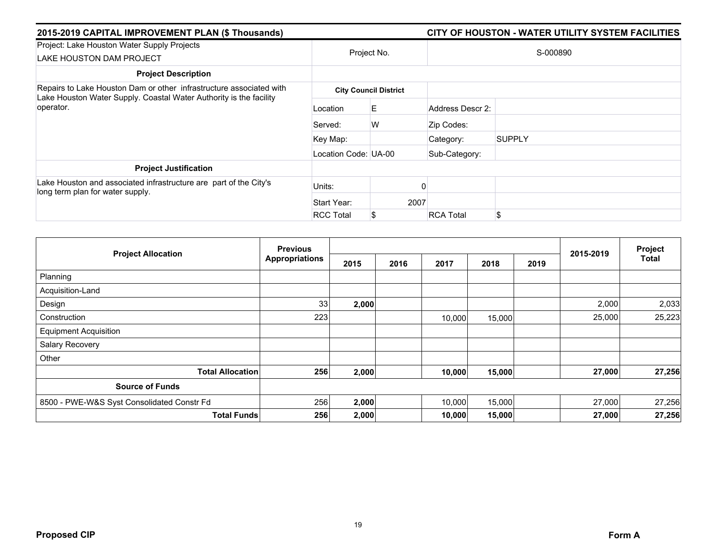| 2015-2019 CAPITAL IMPROVEMENT PLAN (\$ Thousands)                                                     |                      | CITY OF HOUSTON - WATER UTILITY SYSTEM FACILITIES |                  |               |  |  |
|-------------------------------------------------------------------------------------------------------|----------------------|---------------------------------------------------|------------------|---------------|--|--|
| Project: Lake Houston Water Supply Projects<br>LAKE HOUSTON DAM PROJECT                               |                      | Project No.                                       |                  | S-000890      |  |  |
| <b>Project Description</b>                                                                            |                      |                                                   |                  |               |  |  |
| Repairs to Lake Houston Dam or other infrastructure associated with                                   |                      | <b>City Council District</b>                      |                  |               |  |  |
| Lake Houston Water Supply. Coastal Water Authority is the facility<br>operator.                       | Location             | E.                                                | Address Descr 2: |               |  |  |
|                                                                                                       | Served:              | W                                                 | Zip Codes:       |               |  |  |
|                                                                                                       | Key Map:             |                                                   | Category:        | <b>SUPPLY</b> |  |  |
|                                                                                                       | Location Code: UA-00 |                                                   | Sub-Category:    |               |  |  |
| <b>Project Justification</b>                                                                          |                      |                                                   |                  |               |  |  |
| Lake Houston and associated infrastructure are part of the City's<br>long term plan for water supply. | Units:               |                                                   |                  |               |  |  |
|                                                                                                       | Start Year:          |                                                   | 2007             |               |  |  |
|                                                                                                       | <b>RCC Total</b>     |                                                   | <b>RCA Total</b> | \$            |  |  |

|                                            | <b>Previous</b>       |       |      |        | Project |      |           |              |
|--------------------------------------------|-----------------------|-------|------|--------|---------|------|-----------|--------------|
| <b>Project Allocation</b>                  | <b>Appropriations</b> | 2015  | 2016 | 2017   | 2018    | 2019 | 2015-2019 | <b>Total</b> |
| Planning                                   |                       |       |      |        |         |      |           |              |
| Acquisition-Land                           |                       |       |      |        |         |      |           |              |
| Design                                     | 33                    | 2,000 |      |        |         |      | 2,000     | 2,033        |
| Construction                               | 223                   |       |      | 10,000 | 15,000  |      | 25,000    | 25,223       |
| <b>Equipment Acquisition</b>               |                       |       |      |        |         |      |           |              |
| Salary Recovery                            |                       |       |      |        |         |      |           |              |
| Other                                      |                       |       |      |        |         |      |           |              |
| <b>Total Allocation</b>                    | 256                   | 2,000 |      | 10,000 | 15,000  |      | 27,000    | 27,256       |
| <b>Source of Funds</b>                     |                       |       |      |        |         |      |           |              |
| 8500 - PWE-W&S Syst Consolidated Constr Fd | 256                   | 2,000 |      | 10,000 | 15,000  |      | 27,000    | 27,256       |
| <b>Total Funds</b>                         | 256                   | 2,000 |      | 10,000 | 15,000  |      | 27,000    | 27,256       |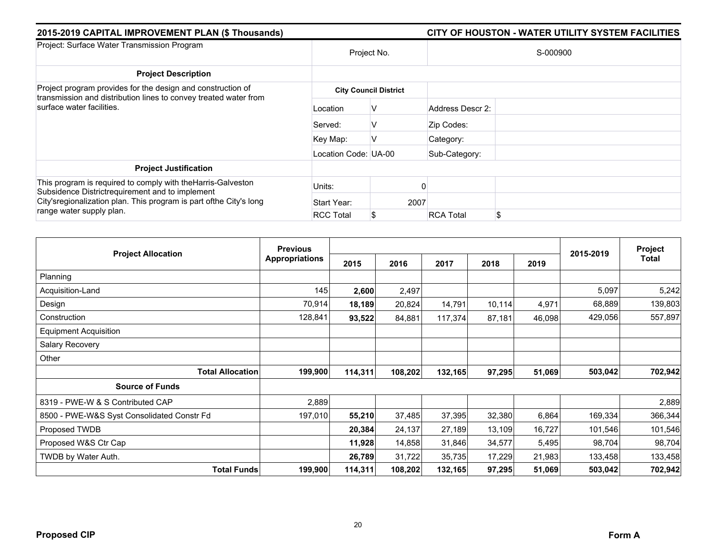| 2015-2019 CAPITAL IMPROVEMENT PLAN (\$ Thousands)                                                                                                                                                                   |                      |                              | CITY OF HOUSTON - WATER UTILITY SYSTEM FACILITIES |  |  |  |  |
|---------------------------------------------------------------------------------------------------------------------------------------------------------------------------------------------------------------------|----------------------|------------------------------|---------------------------------------------------|--|--|--|--|
| Project: Surface Water Transmission Program                                                                                                                                                                         | Project No.          |                              | S-000900                                          |  |  |  |  |
| <b>Project Description</b>                                                                                                                                                                                          |                      |                              |                                                   |  |  |  |  |
| Project program provides for the design and construction of<br>transmission and distribution lines to convey treated water from                                                                                     |                      | <b>City Council District</b> |                                                   |  |  |  |  |
| surface water facilities.                                                                                                                                                                                           | Location             | v                            | Address Descr 2:                                  |  |  |  |  |
|                                                                                                                                                                                                                     | Served:              | v                            | Zip Codes:                                        |  |  |  |  |
|                                                                                                                                                                                                                     | Key Map:             | ν                            | Category:                                         |  |  |  |  |
|                                                                                                                                                                                                                     | Location Code: UA-00 |                              | Sub-Category:                                     |  |  |  |  |
| <b>Project Justification</b>                                                                                                                                                                                        |                      |                              |                                                   |  |  |  |  |
| This program is required to comply with the Harris-Galveston<br>Subsidence Districtrequirement and to implement<br>City's regionalization plan. This program is part of the City's long<br>range water supply plan. | Units:               |                              |                                                   |  |  |  |  |
|                                                                                                                                                                                                                     | Start Year:          | 2007                         |                                                   |  |  |  |  |
|                                                                                                                                                                                                                     | <b>RCC Total</b>     | S                            | \$<br><b>RCA Total</b>                            |  |  |  |  |

|                                            | <b>Previous</b>       |         |         |         |        |        |           | Project |
|--------------------------------------------|-----------------------|---------|---------|---------|--------|--------|-----------|---------|
| <b>Project Allocation</b>                  | <b>Appropriations</b> | 2015    | 2016    | 2017    | 2018   | 2019   | 2015-2019 | Total   |
| Planning                                   |                       |         |         |         |        |        |           |         |
| Acquisition-Land                           | 145                   | 2,600   | 2,497   |         |        |        | 5,097     | 5,242   |
| Design                                     | 70,914                | 18,189  | 20,824  | 14,791  | 10,114 | 4,971  | 68,889    | 139,803 |
| Construction                               | 128,841               | 93,522  | 84,881  | 117,374 | 87,181 | 46,098 | 429,056   | 557,897 |
| <b>Equipment Acquisition</b>               |                       |         |         |         |        |        |           |         |
| Salary Recovery                            |                       |         |         |         |        |        |           |         |
| Other                                      |                       |         |         |         |        |        |           |         |
| <b>Total Allocation</b>                    | 199,900               | 114,311 | 108,202 | 132,165 | 97,295 | 51,069 | 503,042   | 702,942 |
| <b>Source of Funds</b>                     |                       |         |         |         |        |        |           |         |
| 8319 - PWE-W & S Contributed CAP           | 2,889                 |         |         |         |        |        |           | 2,889   |
| 8500 - PWE-W&S Syst Consolidated Constr Fd | 197,010               | 55,210  | 37,485  | 37,395  | 32,380 | 6,864  | 169,334   | 366,344 |
| Proposed TWDB                              |                       | 20,384  | 24,137  | 27,189  | 13,109 | 16,727 | 101,546   | 101,546 |
| Proposed W&S Ctr Cap                       |                       | 11,928  | 14,858  | 31,846  | 34,577 | 5,495  | 98,704    | 98,704  |
| TWDB by Water Auth.                        |                       | 26,789  | 31,722  | 35,735  | 17,229 | 21,983 | 133,458   | 133,458 |
| <b>Total Funds</b>                         | 199,900               | 114,311 | 108,202 | 132,165 | 97,295 | 51,069 | 503,042   | 702,942 |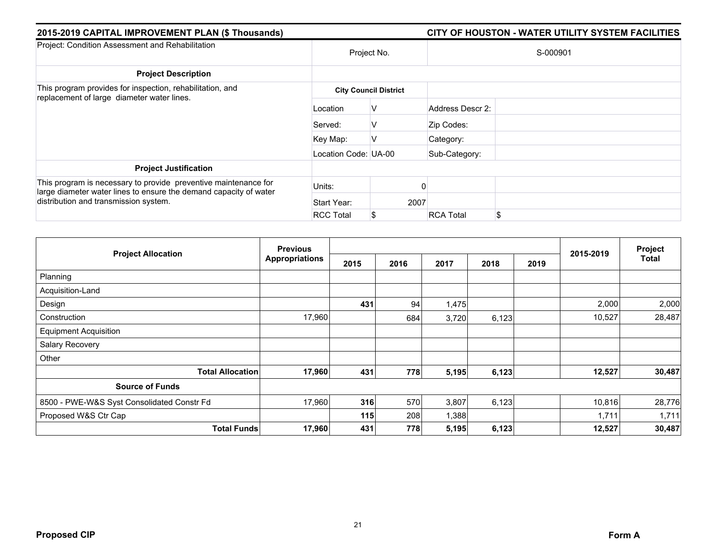| 2015-2019 CAPITAL IMPROVEMENT PLAN (\$ Thousands)                                                                                    |                      |                              | CITY OF HOUSTON - WATER UTILITY SYSTEM FACILITIES |
|--------------------------------------------------------------------------------------------------------------------------------------|----------------------|------------------------------|---------------------------------------------------|
| Project: Condition Assessment and Rehabilitation                                                                                     |                      | Project No.                  | S-000901                                          |
| <b>Project Description</b>                                                                                                           |                      |                              |                                                   |
| This program provides for inspection, rehabilitation, and<br>replacement of large diameter water lines.                              |                      | <b>City Council District</b> |                                                   |
|                                                                                                                                      | Location             | V                            | Address Descr 2:                                  |
|                                                                                                                                      | Served:              | v                            | Zip Codes:                                        |
|                                                                                                                                      | Key Map:             | V                            | Category:                                         |
|                                                                                                                                      | Location Code: UA-00 |                              | Sub-Category:                                     |
| <b>Project Justification</b>                                                                                                         |                      |                              |                                                   |
| This program is necessary to provide preventive maintenance for<br>large diameter water lines to ensure the demand capacity of water | Units:               |                              |                                                   |
| distribution and transmission system.                                                                                                | Start Year:          | 2007                         |                                                   |
|                                                                                                                                      | <b>RCC Total</b>     | S.                           | \$<br><b>RCA Total</b>                            |

|                                            | <b>Previous</b>       |      |      |       | Project |      |           |        |
|--------------------------------------------|-----------------------|------|------|-------|---------|------|-----------|--------|
| <b>Project Allocation</b>                  | <b>Appropriations</b> | 2015 | 2016 | 2017  | 2018    | 2019 | 2015-2019 | Total  |
| Planning                                   |                       |      |      |       |         |      |           |        |
| Acquisition-Land                           |                       |      |      |       |         |      |           |        |
| Design                                     |                       | 431  | 94   | 1,475 |         |      | 2,000     | 2,000  |
| Construction                               | 17,960                |      | 684  | 3,720 | 6,123   |      | 10,527    | 28,487 |
| <b>Equipment Acquisition</b>               |                       |      |      |       |         |      |           |        |
| Salary Recovery                            |                       |      |      |       |         |      |           |        |
| Other                                      |                       |      |      |       |         |      |           |        |
| <b>Total Allocation</b>                    | 17,960                | 431  | 778  | 5,195 | 6,123   |      | 12,527    | 30,487 |
| <b>Source of Funds</b>                     |                       |      |      |       |         |      |           |        |
| 8500 - PWE-W&S Syst Consolidated Constr Fd | 17,960                | 316  | 570  | 3,807 | 6,123   |      | 10,816    | 28,776 |
| Proposed W&S Ctr Cap                       |                       | 115  | 208  | 1,388 |         |      | 1,711     | 1,711  |
| <b>Total Funds</b>                         | 17,960                | 431  | 778  | 5,195 | 6,123   |      | 12,527    | 30,487 |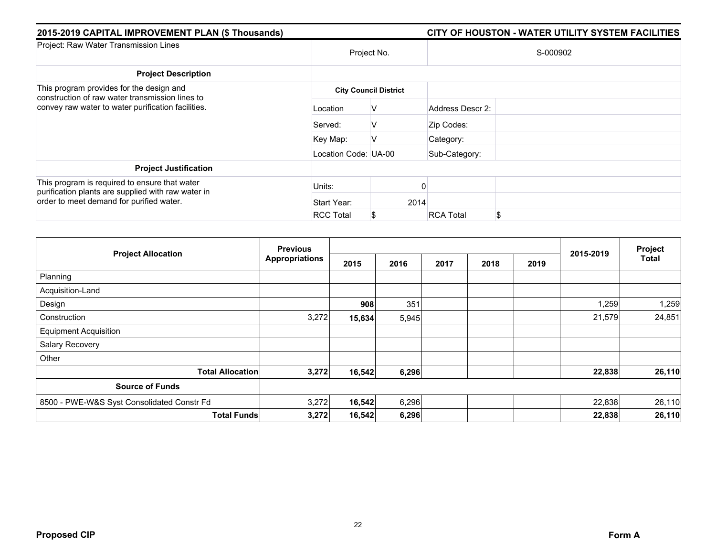| 2015-2019 CAPITAL IMPROVEMENT PLAN (\$ Thousands)                                                                                               |                      |                              |                  | CITY OF HOUSTON - WATER UTILITY SYSTEM FACILITIES |  |  |  |  |
|-------------------------------------------------------------------------------------------------------------------------------------------------|----------------------|------------------------------|------------------|---------------------------------------------------|--|--|--|--|
| Project: Raw Water Transmission Lines                                                                                                           |                      | Project No.                  |                  | S-000902                                          |  |  |  |  |
| <b>Project Description</b>                                                                                                                      |                      |                              |                  |                                                   |  |  |  |  |
| This program provides for the design and<br>construction of raw water transmission lines to                                                     |                      | <b>City Council District</b> |                  |                                                   |  |  |  |  |
| convey raw water to water purification facilities.                                                                                              | Location             | v                            | Address Descr 2: |                                                   |  |  |  |  |
|                                                                                                                                                 | Served:              | v                            | Zip Codes:       |                                                   |  |  |  |  |
|                                                                                                                                                 | Key Map:             | ν                            | Category:        |                                                   |  |  |  |  |
|                                                                                                                                                 | Location Code: UA-00 |                              | Sub-Category:    |                                                   |  |  |  |  |
| <b>Project Justification</b>                                                                                                                    |                      |                              |                  |                                                   |  |  |  |  |
| This program is required to ensure that water<br>purification plants are supplied with raw water in<br>order to meet demand for purified water. | Units:               |                              |                  |                                                   |  |  |  |  |
|                                                                                                                                                 | Start Year:          | 2014                         |                  |                                                   |  |  |  |  |
|                                                                                                                                                 | <b>RCC Total</b>     |                              | <b>RCA Total</b> | \$                                                |  |  |  |  |

|                                            | <b>Previous</b>       |        |       |      | Project |      |           |              |
|--------------------------------------------|-----------------------|--------|-------|------|---------|------|-----------|--------------|
| <b>Project Allocation</b>                  | <b>Appropriations</b> | 2015   | 2016  | 2017 | 2018    | 2019 | 2015-2019 | <b>Total</b> |
| Planning                                   |                       |        |       |      |         |      |           |              |
| Acquisition-Land                           |                       |        |       |      |         |      |           |              |
| Design                                     |                       | 908    | 351   |      |         |      | 1,259     | 1,259        |
| Construction                               | 3,272                 | 15,634 | 5,945 |      |         |      | 21,579    | 24,851       |
| <b>Equipment Acquisition</b>               |                       |        |       |      |         |      |           |              |
| Salary Recovery                            |                       |        |       |      |         |      |           |              |
| Other                                      |                       |        |       |      |         |      |           |              |
| <b>Total Allocation</b>                    | 3,272                 | 16,542 | 6,296 |      |         |      | 22,838    | 26,110       |
| <b>Source of Funds</b>                     |                       |        |       |      |         |      |           |              |
| 8500 - PWE-W&S Syst Consolidated Constr Fd | 3,272                 | 16,542 | 6,296 |      |         |      | 22,838    | 26,110       |
| <b>Total Funds</b>                         | 3,272                 | 16,542 | 6,296 |      |         |      | 22,838    | 26,110       |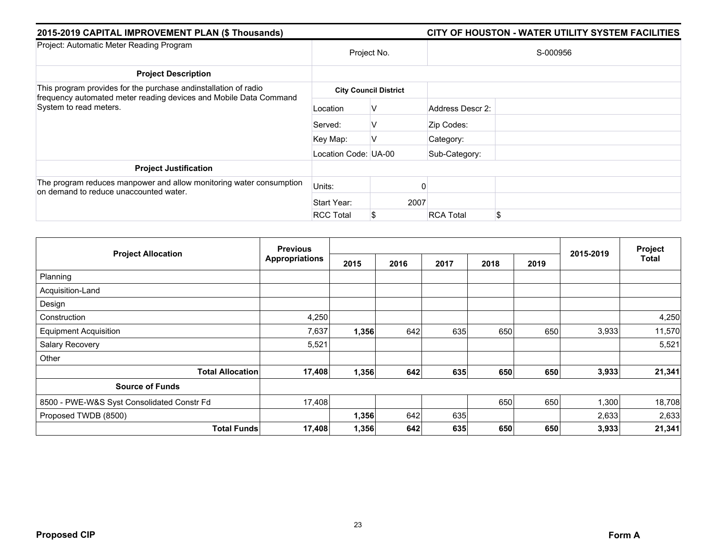| 2015-2019 CAPITAL IMPROVEMENT PLAN (\$ Thousands)                                                                                    |                      |                              | CITY OF HOUSTON - WATER UTILITY SYSTEM FACILITIES |    |  |  |  |
|--------------------------------------------------------------------------------------------------------------------------------------|----------------------|------------------------------|---------------------------------------------------|----|--|--|--|
| Project: Automatic Meter Reading Program                                                                                             | Project No.          |                              | S-000956                                          |    |  |  |  |
| <b>Project Description</b>                                                                                                           |                      |                              |                                                   |    |  |  |  |
| This program provides for the purchase andinstallation of radio<br>frequency automated meter reading devices and Mobile Data Command |                      | <b>City Council District</b> |                                                   |    |  |  |  |
| System to read meters.                                                                                                               | Location             | V                            | Address Descr 2:                                  |    |  |  |  |
|                                                                                                                                      | Served:              | V                            | Zip Codes:                                        |    |  |  |  |
|                                                                                                                                      | Key Map:             |                              | Category:                                         |    |  |  |  |
|                                                                                                                                      | Location Code: UA-00 |                              | Sub-Category:                                     |    |  |  |  |
| <b>Project Justification</b>                                                                                                         |                      |                              |                                                   |    |  |  |  |
| The program reduces manpower and allow monitoring water consumption<br>on demand to reduce unaccounted water.                        | Units:               |                              |                                                   |    |  |  |  |
|                                                                                                                                      | Start Year:          | 2007                         |                                                   |    |  |  |  |
|                                                                                                                                      | <b>RCC Total</b>     |                              | <b>RCA Total</b>                                  | \$ |  |  |  |

|                                            | <b>Previous</b>       |       |      |      | Project |      |           |        |
|--------------------------------------------|-----------------------|-------|------|------|---------|------|-----------|--------|
| <b>Project Allocation</b>                  | <b>Appropriations</b> | 2015  | 2016 | 2017 | 2018    | 2019 | 2015-2019 | Total  |
| Planning                                   |                       |       |      |      |         |      |           |        |
| Acquisition-Land                           |                       |       |      |      |         |      |           |        |
| Design                                     |                       |       |      |      |         |      |           |        |
| Construction                               | 4,250                 |       |      |      |         |      |           | 4,250  |
| <b>Equipment Acquisition</b>               | 7,637                 | 1,356 | 642  | 635  | 650     | 650  | 3,933     | 11,570 |
| Salary Recovery                            | 5,521                 |       |      |      |         |      |           | 5,521  |
| Other                                      |                       |       |      |      |         |      |           |        |
| <b>Total Allocation</b>                    | 17,408                | 1,356 | 642  | 635  | 650     | 650  | 3,933     | 21,341 |
| <b>Source of Funds</b>                     |                       |       |      |      |         |      |           |        |
| 8500 - PWE-W&S Syst Consolidated Constr Fd | 17,408                |       |      |      | 650     | 650  | 1,300     | 18,708 |
| Proposed TWDB (8500)                       |                       | 1,356 | 642  | 635  |         |      | 2,633     | 2,633  |
| <b>Total Funds</b>                         | 17,408                | 1,356 | 642  | 635  | 650     | 650  | 3,933     | 21,341 |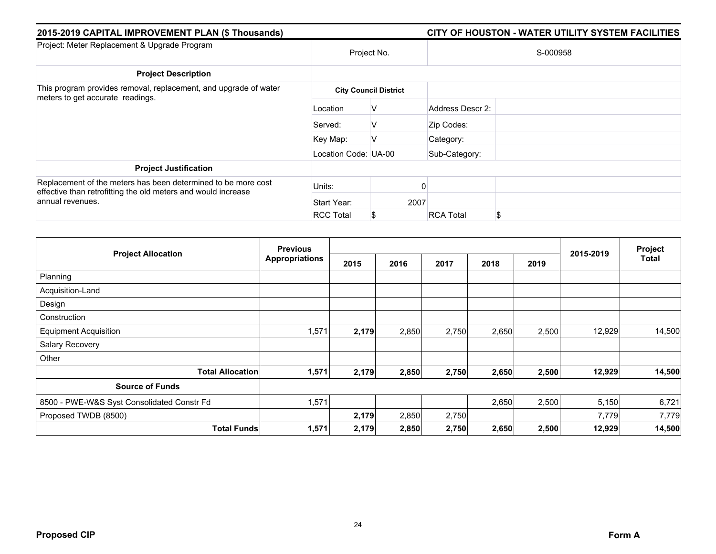| 2015-2019 CAPITAL IMPROVEMENT PLAN (\$ Thousands)                                                                                                  |                      |                              | CITY OF HOUSTON - WATER UTILITY SYSTEM FACILITIES |  |  |  |  |  |
|----------------------------------------------------------------------------------------------------------------------------------------------------|----------------------|------------------------------|---------------------------------------------------|--|--|--|--|--|
| Project: Meter Replacement & Upgrade Program                                                                                                       |                      | Project No.                  | S-000958                                          |  |  |  |  |  |
| <b>Project Description</b>                                                                                                                         |                      |                              |                                                   |  |  |  |  |  |
| This program provides removal, replacement, and upgrade of water<br>meters to get accurate readings.                                               |                      | <b>City Council District</b> |                                                   |  |  |  |  |  |
|                                                                                                                                                    | Location             | V                            | Address Descr 2:                                  |  |  |  |  |  |
|                                                                                                                                                    | Served:              | V                            | Zip Codes:                                        |  |  |  |  |  |
|                                                                                                                                                    | Key Map:             | V                            | Category:                                         |  |  |  |  |  |
|                                                                                                                                                    | Location Code: UA-00 |                              | Sub-Category:                                     |  |  |  |  |  |
| <b>Project Justification</b>                                                                                                                       |                      |                              |                                                   |  |  |  |  |  |
| Replacement of the meters has been determined to be more cost<br>effective than retrofitting the old meters and would increase<br>annual revenues. | Units:               |                              |                                                   |  |  |  |  |  |
|                                                                                                                                                    | Start Year:          | 2007                         |                                                   |  |  |  |  |  |
|                                                                                                                                                    | <b>RCC Total</b>     | S.                           | \$<br><b>RCA Total</b>                            |  |  |  |  |  |

| <b>Previous</b><br><b>Project Allocation</b> |                       |       |       | Project |       |       |           |        |
|----------------------------------------------|-----------------------|-------|-------|---------|-------|-------|-----------|--------|
|                                              | <b>Appropriations</b> | 2015  | 2016  | 2017    | 2018  | 2019  | 2015-2019 | Total  |
| Planning                                     |                       |       |       |         |       |       |           |        |
| Acquisition-Land                             |                       |       |       |         |       |       |           |        |
| Design                                       |                       |       |       |         |       |       |           |        |
| Construction                                 |                       |       |       |         |       |       |           |        |
| <b>Equipment Acquisition</b>                 | 1,571                 | 2,179 | 2,850 | 2,750   | 2,650 | 2,500 | 12,929    | 14,500 |
| Salary Recovery                              |                       |       |       |         |       |       |           |        |
| Other                                        |                       |       |       |         |       |       |           |        |
| <b>Total Allocation</b>                      | 1,571                 | 2,179 | 2,850 | 2,750   | 2,650 | 2,500 | 12,929    | 14,500 |
| <b>Source of Funds</b>                       |                       |       |       |         |       |       |           |        |
| 8500 - PWE-W&S Syst Consolidated Constr Fd   | 1,571                 |       |       |         | 2,650 | 2,500 | 5,150     | 6,721  |
| Proposed TWDB (8500)                         |                       | 2,179 | 2,850 | 2,750   |       |       | 7,779     | 7,779  |
| <b>Total Funds</b>                           | 1,571                 | 2,179 | 2,850 | 2,750   | 2,650 | 2,500 | 12,929    | 14,500 |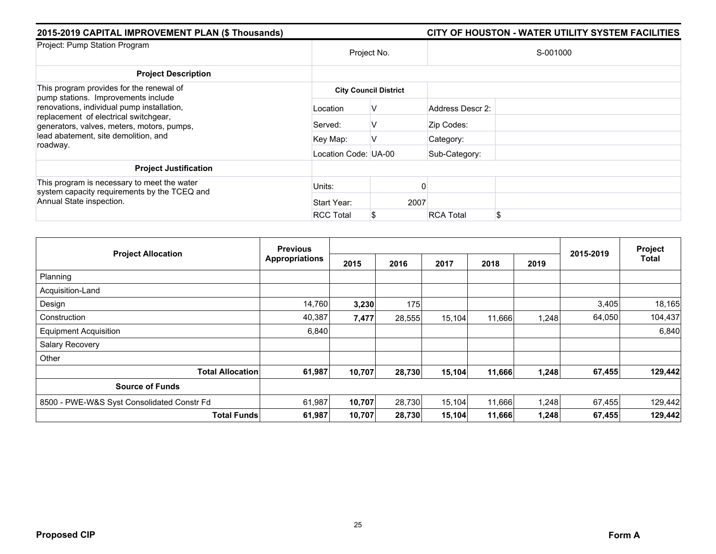| 2015-2019 CAPITAL IMPROVEMENT PLAN (\$ Thousands)                                                                                                                                                                                                                        |                              |      |                  | CITY OF HOUSTON - WATER UTILITY SYSTEM FACILITIES |  |  |  |
|--------------------------------------------------------------------------------------------------------------------------------------------------------------------------------------------------------------------------------------------------------------------------|------------------------------|------|------------------|---------------------------------------------------|--|--|--|
| Project: Pump Station Program                                                                                                                                                                                                                                            | Project No.                  |      | S-001000         |                                                   |  |  |  |
| <b>Project Description</b>                                                                                                                                                                                                                                               |                              |      |                  |                                                   |  |  |  |
| This program provides for the renewal of<br>pump stations. Improvements include<br>renovations, individual pump installation,<br>replacement of electrical switchgear,<br>generators, valves, meters, motors, pumps,<br>lead abatement, site demolition, and<br>roadway. | <b>City Council District</b> |      |                  |                                                   |  |  |  |
|                                                                                                                                                                                                                                                                          | Location                     | V    | Address Descr 2: |                                                   |  |  |  |
|                                                                                                                                                                                                                                                                          | Served:                      | v    | Zip Codes:       |                                                   |  |  |  |
|                                                                                                                                                                                                                                                                          | Key Map:                     | ν    | Category:        |                                                   |  |  |  |
|                                                                                                                                                                                                                                                                          | Location Code: UA-00         |      | Sub-Category:    |                                                   |  |  |  |
| <b>Project Justification</b>                                                                                                                                                                                                                                             |                              |      |                  |                                                   |  |  |  |
| This program is necessary to meet the water<br>system capacity requirements by the TCEQ and<br>Annual State inspection.                                                                                                                                                  | Units:                       |      |                  |                                                   |  |  |  |
|                                                                                                                                                                                                                                                                          | Start Year:                  | 2007 |                  |                                                   |  |  |  |
|                                                                                                                                                                                                                                                                          | <b>RCC Total</b>             | S.   | <b>RCA Total</b> | \$                                                |  |  |  |

| <b>Project Allocation</b>                  | <b>Previous</b>       |        |        |        |        |       |           | Project      |
|--------------------------------------------|-----------------------|--------|--------|--------|--------|-------|-----------|--------------|
|                                            | <b>Appropriations</b> | 2015   | 2016   | 2017   | 2018   | 2019  | 2015-2019 | <b>Total</b> |
| Planning                                   |                       |        |        |        |        |       |           |              |
| Acquisition-Land                           |                       |        |        |        |        |       |           |              |
| Design                                     | 14,760                | 3,230  | 175    |        |        |       | 3,405     | 18,165       |
| Construction                               | 40,387                | 7,477  | 28,555 | 15,104 | 11,666 | 1,248 | 64,050    | 104,437      |
| <b>Equipment Acquisition</b>               | 6,840                 |        |        |        |        |       |           | 6,840        |
| Salary Recovery                            |                       |        |        |        |        |       |           |              |
| Other                                      |                       |        |        |        |        |       |           |              |
| <b>Total Allocation</b>                    | 61,987                | 10,707 | 28,730 | 15,104 | 11,666 | 1,248 | 67,455    | 129,442      |
| <b>Source of Funds</b>                     |                       |        |        |        |        |       |           |              |
| 8500 - PWE-W&S Syst Consolidated Constr Fd | 61,987                | 10,707 | 28,730 | 15,104 | 11,666 | 1,248 | 67,455    | 129,442      |
| <b>Total Funds</b>                         | 61,987                | 10,707 | 28,730 | 15,104 | 11,666 | 1,248 | 67,455    | 129,442      |